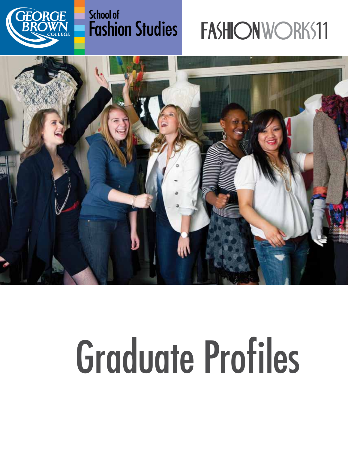

### **School of Fashion Studies**

## FASHIONWORKS11



# Graduate Profiles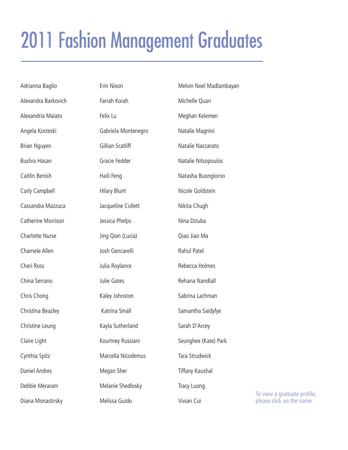### <span id="page-1-0"></span>2011 Fashion Management Graduates

| Adrianna Baglio      | Erin Nixon          | Melvin Noel Madlambayan |                                                          |
|----------------------|---------------------|-------------------------|----------------------------------------------------------|
| Alexandra Barkovich  | Farrah Korah        | Michelle Quan           |                                                          |
| Alexandria Maiato    | Felix Lu            | Meghan Kelemen          |                                                          |
| Angela Kosteski      | Gabriela Montenegro | Natalie Magnini         |                                                          |
| Brian Nguyen         | Gillian Scatliff    | Natalie Naccarato       |                                                          |
| Bushra Hasan         | Gracie Fedder       | Natalie Nitsopoulos     |                                                          |
| Caitlin Benish       | Haili Feng          | Natasha Buongiorno      |                                                          |
| Carly Campbell       | <b>Hilary Blunt</b> | Nicole Goldstein        |                                                          |
| Cassandra Mazzuca    | Jacqueline Collett  | Nikita Chugh            |                                                          |
| Catherine Morrison   | Jessica Phelps      | Nina Dziuba             |                                                          |
| Charlotte Nurse      | Jing Qian (Lucia)   | Qiao Jiao Ma            |                                                          |
| Charnele Allen       | Josh Gencarelli     | Rahul Patel             |                                                          |
| Cheri Ross           | Julia Roylance      | Rebecca Holmes          |                                                          |
| China Serrano        | Julie Gates         | Rehana Nandlall         |                                                          |
| Chris Chong          | Kaley Johnston      | Sabrina Lachman         |                                                          |
| Christina Beazley    | Katrina Small       | Samantha Saidyfye       |                                                          |
| Christine Leung      | Kayla Sutherland    | Sarah D'Arcey           |                                                          |
| Claire Light         | Kourtney Russiani   | Seunghee (Kate) Park    |                                                          |
| Cynthia Spitz        | Marcella Nicodemus  | Tara Strudwick          |                                                          |
| <b>Daniel Andres</b> | Megan Sher          | Tiffany Kaushal         |                                                          |
| Debbie Meraram       | Melanie Shedlosky   | Tracy Luong             |                                                          |
| Diana Monastirsky    | Melissa Guido       | Vivian Cui              | To view a graduate profile,<br>please click on the name. |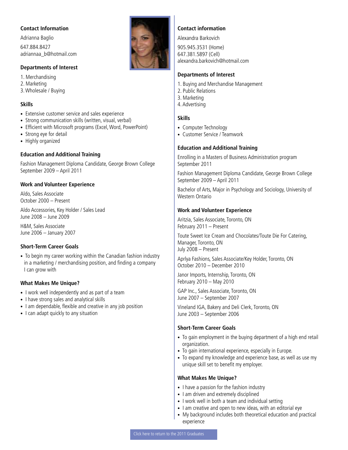<span id="page-2-0"></span>Adrianna Baglio 647.884.8427 adriannaa\_b@hotmail.com

#### **Departments of Interest**

1. Merchandising 2. Marketing 3. Wholesale / Buying

#### **Skills**

- Extensive customer service and sales experience
- Strong communication skills (written, visual, verbal)
- Efficient with Microsoft programs (Excel, Word, PowerPoint)
- Strong eye for detail
- Highly organized

#### **Education and Additional Training**

Fashion Management Diploma Candidate, George Brown College September 2009 – April 2011

#### **Work and Volunteer Experience**

Aldo, Sales Associate October 2000 – Present

Aldo Accessories, Key Holder / Sales Lead June 2008 – June 2009

H&M, Sales Associate June 2006 – January 2007

#### **Short-Term Career Goals**

• To begin my career working within the Canadian fashion industry in a marketing / merchandising position, and finding a company I can grow with

#### **What Makes Me Unique?**

- I work well independently and as part of a team
- I have strong sales and analytical skills
- I am dependable, flexible and creative in any job position
- I can adapt quickly to any situation



#### **Contact information**

Alexandra Barkovich 905.945.3531 (Home) 647.381.5897 (Cell) alexandra.barkovich@hotmail.com

#### **Departments of Interest**

- 1. Buying and Merchandise Management
- 2. Public Relations
- 3. Marketing
- 4. Advertising

#### **Skills**

- Computer Technology
- Customer Service / Teamwork

#### **Education and Additional Training**

Enrolling in a Masters of Business Administration program September 2011

Fashion Management Diploma Candidate, George Brown College September 2009 – April 2011

Bachelor of Arts, Major in Psychology and Sociology, University of Western Ontario

#### **Work and Volunteer Experience**

Aritzia, Sales Associate, Toronto, ON February 2011 – Present

Toute Sweet Ice Cream and Chocolates/Toute Die For Catering, Manager, Toronto, ON July 2008 – Present

Aprlya Fashions, Sales Associate/Key Holder, Toronto, ON October 2010 – December 2010

Janor Imports, Internship, Toronto, ON February 2010 – May 2010

GAP Inc., Sales Associate, Toronto, ON June 2007 – September 2007

Vineland IGA, Bakery and Deli Clerk, Toronto, ON June 2003 – September 2006

#### **Short-Term Career Goals**

- To gain employment in the buying department of a high end retail organization.
- To gain international experience, especially in Europe.
- To expand my knowledge and experience base, as well as use my unique skill set to benefit my employer.

- I have a passion for the fashion industry
- I am driven and extremely disciplined
- I work well in both a team and individual setting
- I am creative and open to new ideas, with an editorial eye
- My background includes both theoretical education and practical experience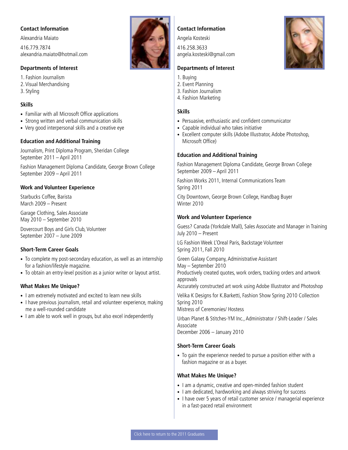<span id="page-3-0"></span>Alexandria Maiato 416.779.7874 alexandria.maiato@hotmail.com

#### **Departments of Interest**

1. Fashion Journalism 2. Visual Merchandising 3. Styling

#### **Skills**

- Familiar with all Microsoft Office applications
- Strong written and verbal communication skills
- Very good interpersonal skills and a creative eye

#### **Education and Additional Training**

Journalism, Print Diploma Program, Sheridan College September 2011 – April 2011

Fashion Management Diploma Candidate, George Brown College September 2009 – April 2011

#### **Work and Volunteer Experience**

Starbucks Coffee, Barista March 2009 – Present

Garage Clothing, Sales Associate May 2010 – September 2010

Dovercourt Boys and Girls Club, Volunteer September 2007 – June 2009

#### **Short-Term Career Goals**

- To complete my post-secondary education, as well as an internship for a fashion/lifestyle magazine.
- To obtain an entry-level position as a junior writer or layout artist.

#### **What Makes Me Unique?**

- I am extremely motivated and excited to learn new skills
- I have previous journalism, retail and volunteer experience, making me a well-rounded candidate
- I am able to work well in groups, but also excel independently



#### **Contact Information**

Angela Kosteski

416.258.3633 angela.kosteski@gmail.com

#### **Departments of Interest**

- 1. Buying
- 2. Event Planning
- 3. Fashion Journalism
- 4. Fashion Marketing

#### **Skills**

- Persuasive, enthusiastic and confident communicator
- Capable individual who takes initiative
- Excellent computer skills (Adobe Illustrator, Adobe Photoshop, Microsoft Office)

#### **Education and Additional Training**

Fashion Management Diploma Candidate, George Brown College September 2009 – April 2011

Fashion Works 2011, Internal Communications Team Spring 2011

City Downtown, George Brown College, Handbag Buyer Winter 2010

#### **Work and Volunteer Experience**

Guess? Canada (Yorkdale Mall), Sales Associate and Manager in Training July 2010 – Present

LG Fashion Week L'Oreal Paris, Backstage Volunteer Spring 2011, Fall 2010

Green Galaxy Company, Administrative Assistant May – September 2010 Productively created quotes, work orders, tracking orders and artwork approvals Accurately constructed art work using Adobe Illustrator and Photoshop

Velika K Designs for K.Barketti, Fashion Show Spring 2010 Collection Spring 2010

Mistress of Ceremonies/ Hostess

Urban Planet & Stitches-YM Inc., Administrator / Shift-Leader / Sales Associate December 2006 – January 2010

#### **Short-Term Career Goals**

• To gain the experience needed to pursue a position either with a fashion magazine or as a buyer.

- I am a dynamic, creative and open-minded fashion student
- I am dedicated, hardworking and always striving for success
- I have over 5 years of retail customer service / managerial experience in a fast-paced retail environment

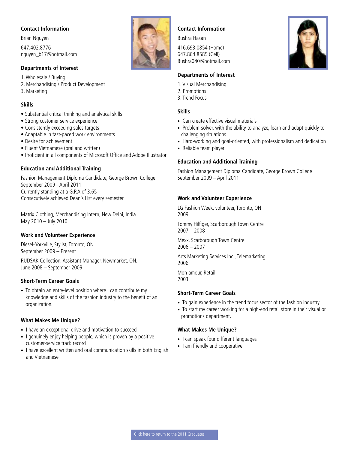<span id="page-4-0"></span>Brian Nguyen 647.402.8776 nguyen\_b17@hotmail.com

#### **Departments of Interest**

1. Wholesale / Buying

- 2. Merchandising / Product Development
- 3. Marketing

#### **Skills**

- Substantial critical thinking and analytical skills
- Strong customer service experience
- Consistently exceeding sales targets
- Adaptable in fast-paced work environments
- Desire for achievement
- Fluent Vietnamese (oral and written)
- Proficient in all components of Microsoft Office and Adobe Illustrator

#### **Education and Additional Training**

Fashion Management Diploma Candidate, George Brown College September 2009 –April 2011 Currently standing at a G.P.A of 3.65 Consecutively achieved Dean's List every semester

Matrix Clothing, Merchandising Intern, New Delhi, India May 2010 – July 2010

#### **Work and Volunteer Experience**

Diesel-Yorkville, Stylist, Toronto, ON. September 2009 – Present

RUDSAK Collection, Assistant Manager, Newmarket, ON. June 2008 – September 2009

#### **Short-Term Career Goals**

• To obtain an entry-level position where I can contribute my knowledge and skills of the fashion industry to the benefit of an organization.

#### **What Makes Me Unique?**

- I have an exceptional drive and motivation to succeed
- I genuinely enjoy helping people, which is proven by a positive customer-service track record
- I have excellent written and oral communication skills in both English and Vietnamese

### **Contact Information**

Bushra Hasan

416.693.0854 (Home) 647.864.8585 (Cell) Bushra040@hotmail.com

#### **Departments of Interest**

- 1. Visual Merchandising
- 2. Promotions
- 3. Trend Focus

#### **Skills**

- Can create effective visual materials
- Problem-solver, with the ability to analyze, learn and adapt quickly to challenging situations
- Hard-working and goal-oriented, with professionalism and dedication
- Reliable team player

#### **Education and Additional Training**

Fashion Management Diploma Candidate, George Brown College September 2009 – April 2011

#### **Work and Volunteer Experience**

LG Fashion Week, volunteer, Toronto, ON 2009

Tommy Hilfiger, Scarborough Town Centre 2007 – 2008

Mexx, Scarborough Town Centre 2006 – 2007

Arts Marketing Services Inc., Telemarketing 2006

Mon amour, Retail 2003

#### **Short-Term Career Goals**

- To gain experience in the trend focus sector of the fashion industry.
- To start my career working for a high-end retail store in their visual or promotions department.

- I can speak four different languages
- I am friendly and cooperative

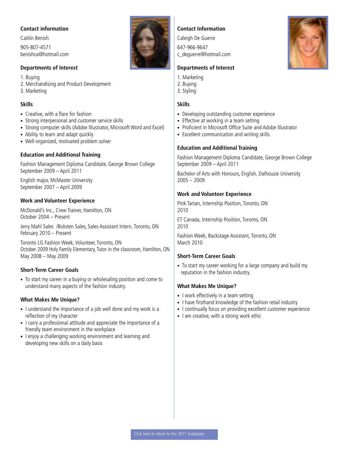<span id="page-5-0"></span>Caitlin Benish 905-807-4571 benishca@hotmail.com

#### **Departments of Interest**

1. Buying 2. Merchandising and Product Development

3. Marketing

#### **Skills**

- Creative, with a flare for fashion
- Strong interpersonal and customer service skills
- Strong computer skills (Adobe Illustrator, Microsoft Word and Excel)
- Ability to learn and adapt quickly
- Well-organized, motivated problem solver

#### **Education and Additional Training**

Fashion Management Diploma Candidate, George Brown College September 2009 – April 2011

English major, McMaster University September 2007 – April 2009

#### **Work and Volunteer Experience**

McDonald's Inc., Crew Trainer, Hamilton, ON October 2004 – Present

Jerry Mahl Sales /Boloten Sales, Sales Assistant Intern, Toronto, ON February 2010 – Present

Toronto LG Fashion Week, Volunteer, Toronto, ON October 2009 Holy Family Elementary, Tutor in the classroom, Hamilton, ON May 2008 – May 2009

#### **Short-Term Career Goals**

• To start my career in a buying or wholesaling position and come to understand many aspects of the fashion industry.

#### **What Makes Me Unique?**

- I understand the importance of a job well done and my work is a reflection of my character
- I carry a professional attitude and appreciate the importance of a friendly team environment in the workplace
- I enjoy a challenging working environment and learning and developing new skills on a daily basis

#### **Contact Information**

Caleigh De Guerre 647-966-9647 c\_deguerre@hotmail.com

#### **Departments of Interest**

- 1. Marketing
- 2. Buying
- 3. Styling

#### **Skills**

- Developing outstanding customer experience
- Effective at working in a team setting
- Proficient in Microsoft Office Suite and Adobe Illustrator
- Excellent communication and writing skills

#### **Education and Additional Training**

Fashion Management Diploma Candidate, George Brown College September 2009 – April 2011

Bachelor of Arts with Honours, English, Dalhousie University 2005 – 2009

#### **Work and Volunteer Experience**

Pink Tartan, Internship Position, Toronto, ON 2010

ET Canada, Internship Position, Toronto, ON 2010

Fashion Week, Backstage Assistant, Toronto, ON March 2010

#### **Short-Term Career Goals**

• To start my career working for a large company and build my reputation in the fashion industry.

- I work effectively in a team setting
- I have firsthand knowledge of the fashion retail industry
- I continually focus on providing excellent customer experience
- I am creative, with a strong work ethic

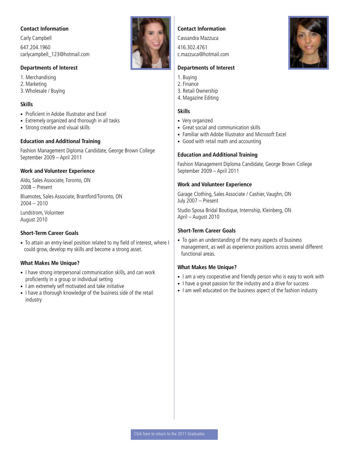<span id="page-6-0"></span>Carly Campbell 647.204.1960 carlycampbell\_123@hotmail.com

#### **Departments of Interest**

1. Merchandising 2. Marketing 3. Wholesale / Buying

#### **Skills**

- Proficient in Adobe Illustrator and Excel
- Extremely organized and thorough in all tasks
- Strong creative and visual skills

#### **Education and Additional Training**

Fashion Management Diploma Candidate, George Brown College September 2009 – April 2011

#### **Work and Volunteer Experience**

Aldo, Sales Associate, Toronto, ON 2008 – Present

Bluenotes, Sales Associate, Brantford/Toronto, ON  $2004 - 2010$ 

Lundstrom, Volunteer August 2010

#### **Short-Term Career Goals**

• To attain an entry-level position related to my field of interest, where I could grow, develop my skills and become a strong asset.

#### **What Makes Me Unique?**

- I have strong interpersonal communication skills, and can work proficiently in a group or individual setting
- I am extremely self motivated and take initiative
- I have a thorough knowledge of the business side of the retail industry

# **Contact Information**

Cassandra Mazzuca

416.302.4761 c.mazzuca@hotmail.com

#### **Departments of Interest**

- 1. Buying
- 2. Finance
- 3. Retail Ownership
- 4. Magazine Editing

#### **Skills**

- Very organized
- Great social and communication skills
- Familiar with Adobe Illustrator and Microsoft Excel
- Good with retail math and accounting

#### **Education and Additional Training**

Fashion Management Diploma Candidate, George Brown College September 2009 – April 2011

#### **Work and Volunteer Experience**

Garage Clothing, Sales Associate / Cashier, Vaughn, ON July 2007 – Present

Studio Sposa Bridal Boutique, Internship, Kleinberg, ON April – August 2010

#### **Short-Term Career Goals**

• To gain an understanding of the many aspects of business management, as well as experience positions across several different functional areas.

- I am a very cooperative and friendly person who is easy to work with
- I have a great passion for the industry and a drive for success
- I am well educated on the business aspect of the fashion industry

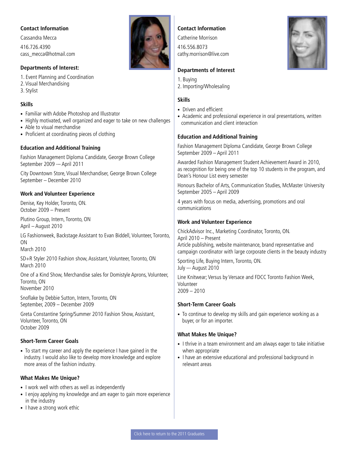<span id="page-7-0"></span>Cassandra Mecca 416.726.4390 cass\_mecca@hotmail.com

#### **Departments of Interest:**

1. Event Planning and Coordination 2. Visual Merchandising 3. Stylist

#### **Skills**

- Familiar with Adobe Photoshop and Illustrator
- Highly motivated, well organized and eager to take on new challenges
- Able to visual merchandise
- Proficient at coordinating pieces of clothing

#### **Education and Additional Training**

Fashion Management Diploma Candidate, George Brown College September 2009 -– April 2011

City Downtown Store, Visual Merchandiser, George Brown College September – December 2010

#### **Work and Volunteer Experience**

Denise, Key Holder, Toronto, ON. October 2009 – Present

Plutino Group, Intern, Toronto, ON April – August 2010

LG Fashionweek, Backstage Assistant to Evan Biddell, Volunteer, Toronto, ON

March 2010

SD+R Styler 2010 Fashion show, Assistant, Volunteer, Toronto, ON March 2010

One of a Kind Show, Merchandise sales for Domistyle Aprons, Volunteer, Toronto, ON November 2010

Snoflake by Debbie Sutton, Intern, Toronto, ON September, 2009 – December 2009

Greta Constantine Spring/Summer 2010 Fashion Show, Assistant, Volunteer, Toronto, ON October 2009

#### **Short-Term Career Goals**

• To start my career and apply the experience I have gained in the industry. I would also like to develop more knowledge and explore more areas of the fashion industry.

#### **What Makes Me Unique?**

- I work well with others as well as independently
- I enjoy applying my knowledge and am eager to gain more experience in the industry
- I have a strong work ethic



#### **Contact Information**

Catherine Morrison

416.556.8073 cathy.morrison@live.com

#### **Departments of Interest**

- 1. Buying
- 2. Importing/Wholesaling

#### **Skills**

- Driven and efficient
- Academic and professional experience in oral presentations, written communication and client interaction

#### **Education and Additional Training**

Fashion Management Diploma Candidate, George Brown College September 2009 – April 2011

Awarded Fashion Management Student Achievement Award in 2010, as recognition for being one of the top 10 students in the program, and Dean's Honour List every semester

Honours Bachelor of Arts, Communication Studies, McMaster University September 2005 – April 2009

4 years with focus on media, advertising, promotions and oral communications

#### **Work and Volunteer Experience**

ChickAdvisor Inc., Marketing Coordinator, Toronto, ON. April 2010 – Present Article publishing, website maintenance, brand representative and campaign coordinator with large corporate clients in the beauty industry

Sporting Life, Buying Intern, Toronto, ON. July –- August 2010

Line Knitwear; Versus by Versace and FDCC Toronto Fashion Week, Volunteer  $2009 - 2010$ 

#### **Short-Term Career Goals**

• To continue to develop my skills and gain experience working as a buyer, or for an importer.

- I thrive in a team environment and am always eager to take initiative when appropriate
- I have an extensive educational and professional background in relevant areas

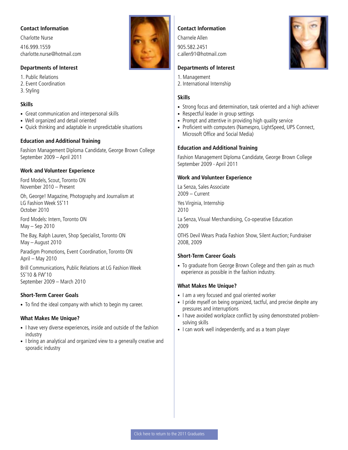<span id="page-8-0"></span>Charlotte Nurse 416.999.1559 charlotte.nurse@hotmail.com

#### **Departments of Interest**

1. Public Relations 2. Event Coordination 3. Styling

#### **Skills**

- Great communication and interpersonal skills
- Well organized and detail oriented
- Quick thinking and adaptable in unpredictable situations

#### **Education and Additional Training**

Fashion Management Diploma Candidate, George Brown College September 2009 – April 2011

#### **Work and Volunteer Experience**

Ford Models, Scout, Toronto ON November 2010 – Present

Oh, George! Magazine, Photography and Journalism at LG Fashion Week SS'11 October 2010

Ford Models: Intern, Toronto ON May – Sep 2010

The Bay, Ralph Lauren, Shop Specialist, Toronto ON May – August 2010

Paradigm Promotions, Event Coordination, Toronto ON April – May 2010

Brill Communications, Public Relations at LG Fashion Week SS'10 & FW'10 September 2009 – March 2010

#### **Short-Term Career Goals**

• To find the ideal company with which to begin my career.

#### **What Makes Me Unique?**

- I have very diverse experiences, inside and outside of the fashion industry
- I bring an analytical and organized view to a generally creative and sporadic industry

#### **Contact Information**

Charnele Allen

905.582.2451 c.allen91@hotmail.com

#### **Departments of Interest**

- 1. Management
- 2. International Internship

#### **Skills**

- Strong focus and determination, task oriented and a high achiever
- Respectful leader in group settings
- Prompt and attentive in providing high quality service
- Proficient with computers (Namespro, LightSpeed, UPS Connect, Microsoft Office and Social Media)

#### **Education and Additional Training**

Fashion Management Diploma Candidate, George Brown College September 2009 - April 2011

#### **Work and Volunteer Experience**

La Senza, Sales Associate 2009 – Current

Yes Virginia, Internship 2010

La Senza, Visual Merchandising, Co-operative Education 2009

OTHS Devil Wears Prada Fashion Show, Silent Auction; Fundraiser 2008, 2009

#### **Short-Term Career Goals**

• To graduate from George Brown College and then gain as much experience as possible in the fashion industry.

- I am a very focused and goal oriented worker
- I pride myself on being organized, tactful, and precise despite any pressures and interruptions
- I have avoided workplace conflict by using demonstrated problemsolving skills
- I can work well independently, and as a team player



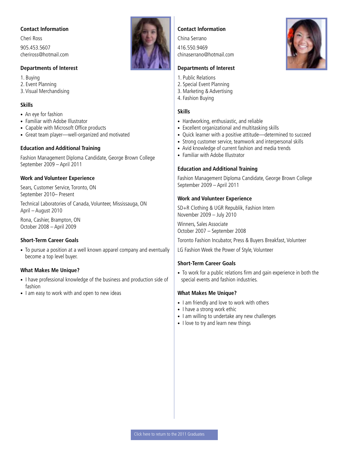<span id="page-9-0"></span>Cheri Ross 905.453.5607 cheriross@hotmail.com

#### **Departments of Interest**

1. Buying 2. Event Planning 3. Visual Merchandising

#### **Skills**

- An eye for fashion
- Familiar with Adobe Illustrator
- Capable with Microsoft Office products
- Great team player—well-organized and motivated

#### **Education and Additional Training**

Fashion Management Diploma Candidate, George Brown College September 2009 – April 2011

#### **Work and Volunteer Experience**

Sears, Customer Service, Toronto, ON September 2010– Present

Technical Laboratories of Canada, Volunteer, Mississauga, ON April – August 2010

Rona, Cashier, Brampton, ON October 2008 – April 2009

#### **Short-Term Career Goals**

• To pursue a position at a well known apparel company and eventually become a top level buyer.

#### **What Makes Me Unique?**

- I have professional knowledge of the business and production side of fashion
- I am easy to work with and open to new ideas



#### **Contact Information**

China Serrano

416.550.9469 chinaserrano@hotmail.com

#### **Departments of Interest**

- 1. Public Relations
- 2. Special Event Planning
- 3. Marketing & Advertising
- 4. Fashion Buying

#### **Skills**

- Hardworking, enthusiastic, and reliable
- Excellent organizational and multitasking skills
- Quick learner with a positive attitude—determined to succeed
- Strong customer service, teamwork and interpersonal skills
- Avid knowledge of current fashion and media trends
- Familiar with Adobe Illustrator

#### **Education and Additional Training**

Fashion Management Diploma Candidate, George Brown College September 2009 – April 2011

#### **Work and Volunteer Experience**

SD+R Clothing & UGR Republik, Fashion Intern November 2009 – July 2010

Winners, Sales Associate October 2007 – September 2008

Toronto Fashion Incubator, Press & Buyers Breakfast, Volunteer

LG Fashion Week the Power of Style, Volunteer

#### **Short-Term Career Goals**

• To work for a public relations firm and gain experience in both the special events and fashion industries.

- I am friendly and love to work with others
- I have a strong work ethic
- I am willing to undertake any new challenges
- I love to try and learn new things

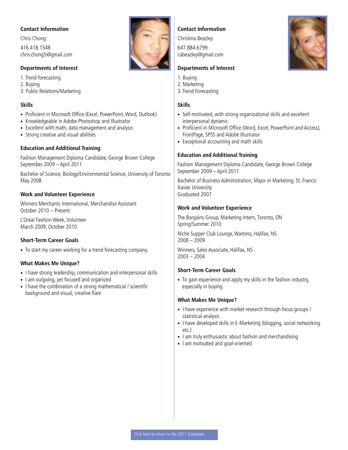<span id="page-10-0"></span>Chris Chong 416.418.1548 chris.chong5@gmail.com

#### **Departments of Interest**

1. Trend forecasting 2. Buying 3. Public Relations/Marketing

#### **Skills**

- Proficient in Microsoft Office (Excel, PowerPoint, Word, Outlook)
- Knowledgeable in Adobe Photoshop and Illustrator
- Excellent with math, data management and analysis
- Strong creative and visual abilities

#### **Education and Additional Training**

Fashion Management Diploma Candidate, George Brown College September 2009 – April 2011

Bachelor of Science, Biology/Environmental Science, University of Toronto May 2008

#### **Work and Volunteer Experience**

Winners Merchants International, Merchandise Assistant October 2010 – Present

L'Oreal Fashion Week, Volunteer March 2009, October 2010

#### **Short-Term Career Goals**

• To start my career working for a trend forecasting company.

#### **What Makes Me Unique?**

- I have strong leadership, communication and interpersonal skills
- I am outgoing, yet focused and organized
- I have the combination of a strong mathematical / scientific background and visual, creative flare



#### **Contact Information**

Christina Beazley 647.884.6799 cabeazley@gmail.com

#### **Departments of Interest**

- 1. Buying
- 2. Marketing
- 3. Trend Forecasting

#### **Skills**

- Self-motivated, with strong organizational skills and excellent interpersonal dynamic
- Proficient in Microsoft Office (Word, Excel, PowerPoint and Access), FrontPage, SPSS and Adobe Illustrator
- Exceptional accounting and math skills

#### **Education and Additional Training**

Fashion Management Diploma Candidate, George Brown College September 2009 – April 2011

Bachelor of Business Administration, Major in Marketing, St. Francis Xavier University Graduated 2007

#### **Work and Volunteer Experience**

The Bargains Group, Marketing Intern, Toronto, ON Spring/Summer 2010

Niche Supper Club Lounge, Waitress, Halifax, NS 2008 – 2009

Winners, Sales Associate, Halifax, NS 2003 – 2004

#### **Short-Term Career Goals**

• To gain experience and apply my skills in the fashion industry, especially in buying.

- I have experience with market research through focus groups / statistical analysis
- I have developed skills in E-Marketing (blogging, social networking etc.)
- I am truly enthusiastic about fashion and merchandising
- I am motivated and goal-oriented

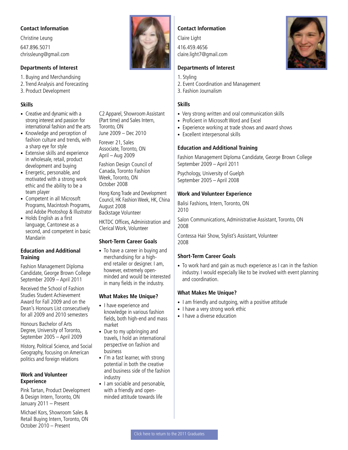<span id="page-11-0"></span>Christine Leung 647.896.5071 chrissleung@gmail.com

#### **Departments of Interest**

1. Buying and Merchandising

- 2. Trend Analysis and Forecasting
- 3. Product Development

#### **Skills**

- Creative and dynamic with a strong interest and passion for international fashion and the arts
- Knowledge and perception of fashion culture and trends, with a sharp eye for style
- Extensive skills and experience in wholesale, retail, product development and buying
- Energetic, personable, and motivated with a strong work ethic and the ability to be a team player
- Competent in all Microsoft Programs, Macintosh Programs, and Adobe Photoshop & Illustrator
- Holds English as a first language, Cantonese as a second, and competent in basic Mandarin

#### **Education and Additional Training**

Fashion Management Diploma Candidate, George Brown College September 2009 – April 2011

Received the School of Fashion Studies Student Achievement Award for Fall 2009 and on the Dean's Honours List consecutively for all 2009 and 2010 semesters

Honours Bachelor of Arts Degree, University of Toronto, September 2005 – April 2009

History, Political Science, and Social Geography, focusing on American politics and foreign relations

#### **Work and Volunteer Experience**

Pink Tartan, Product Development & Design Intern, Toronto, ON January 2011 – Present

Michael Kors, Showroom Sales & Retail Buying Intern, Toronto, ON October 2010 – Present



C2 Apparel, Showroom Assistant (Part time) and Sales Intern,

Toronto, ON

August 2008 Backstage Volunteer

June 2009 – Dec 2010 Forever 21, Sales Associate, Toronto, ON April – Aug 2009

Fashion Design Council of Canada, Toronto Fashion Week, Toronto, ON October 2008

Hong Kong Trade and Development Council, HK Fashion Week, HK, China

HKTDC Offices, Administration and

Clerical Work, Volunteer

**Short-Term Career Goals**  • To have a career in buying and merchandising for a highend retailer or designer. I am, however, extremely openminded and would be interested in many fields in the industry.

**What Makes Me Unique?** • I have experience and

• Due to my upbringing and travels, I hold an international perspective on fashion and

• I'm a fast learner, with strong potential in both the creative and business side of the fashion

• I am sociable and personable, with a friendly and openminded attitude towards life

market

business

industry

knowledge in various fashion fields, both high-end and mass

#### **Contact Information**

Claire Light

416.459.4656 claire.light7@gmail.com

#### **Departments of Interest**

- 1. Styling
- 2. Event Coordination and Management
- 3. Fashion Journalism

#### **Skills**

- Very strong written and oral communication skills
- Proficient in Microsoft Word and Excel
- Experience working at trade shows and award shows
- Excellent interpersonal skills

#### **Education and Additional Training**

Fashion Management Diploma Candidate, George Brown College September 2009 – April 2011

Psychology, University of Guelph September 2005 – April 2008

#### **Work and Volunteer Experience**

Balisi Fashions, Intern, Toronto, ON 2010

Salon Communications, Administrative Assistant, Toronto, ON 2008

Contessa Hair Show, Stylist's Assistant, Volunteer 2008

#### **Short-Term Career Goals**

• To work hard and gain as much experience as I can in the fashion industry. I would especially like to be involved with event planning and coordination.

- I am friendly and outgoing, with a positive attitude
- I have a very strong work ethic
- I have a diverse education

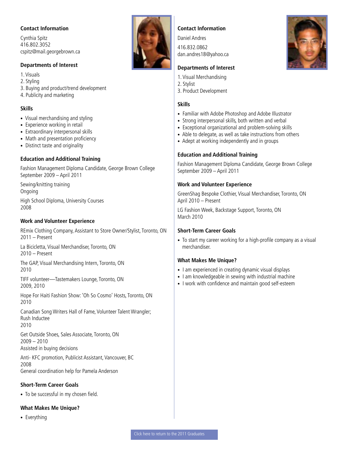<span id="page-12-0"></span>Cynthia Spitz 416.802.3052 cspitz@mail.georgebrown.ca

#### **Departments of Interest**

- 1. Visuals
- 2. Styling
- 3. Buying and product/trend development
- 4. Publicity and marketing

#### **Skills**

- Visual merchandising and styling
- Experience working in retail
- Extraordinary interpersonal skills
- Math and presentation proficiency
- Distinct taste and originality

#### **Education and Additional Training**

Fashion Management Diploma Candidate, George Brown College September 2009 – April 2011

Sewing/knitting training Ongoing High School Diploma, University Courses 2008

#### **Work and Volunteer Experience**

REmix Clothing Company, Assistant to Store Owner/Stylist, Toronto, ON 2011 – Present

La Bicicletta, Visual Merchandiser, Toronto, ON 2010 – Present

The GAP, Visual Merchandising Intern, Toronto, ON 2010

TIFF volunteer—Tastemakers Lounge, Toronto, ON 2009, 2010

Hope For Haiti Fashion Show: 'Oh So Cosmo' Hosts, Toronto, ON 2010

Canadian Song Writers Hall of Fame, Volunteer Talent Wrangler; Rush Inductee 2010

Get Outside Shoes, Sales Associate, Toronto, ON 2009 – 2010 Assisted in buying decisions

Anti- KFC promotion, Publicist Assistant, Vancouver, BC 2008

General coordination help for Pamela Anderson

#### **Short-Term Career Goals**

• To be successful in my chosen field.

#### **What Makes Me Unique?**

• Everything



#### **Contact Information**

Daniel Andres 416.832.0862 dan.andres18@yahoo.ca

#### **Departments of Interest**

- 1. Visual Merchandising
- 2. Stylist
- 3. Product Development

#### **Skills**

- Familiar with Adobe Photoshop and Adobe Illustrator
- Strong interpersonal skills, both written and verbal
- Exceptional organizational and problem-solving skills
- Able to delegate, as well as take instructions from others
- Adept at working independently and in groups

#### **Education and Additional Training**

Fashion Management Diploma Candidate, George Brown College September 2009 – April 2011

#### **Work and Volunteer Experience**

GreenShag Bespoke Clothier, Visual Merchandiser, Toronto, ON April 2010 – Present

LG Fashion Week, Backstage Support, Toronto, ON March 2010

#### **Short-Term Career Goals**

• To start my career working for a high-profile company as a visual merchandiser.

- I am experienced in creating dynamic visual displays
- I am knowledgeable in sewing with industrial machine
- I work with confidence and maintain good self-esteem

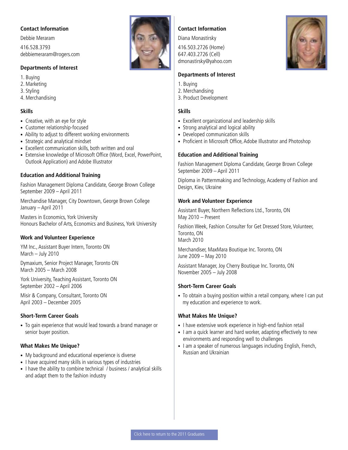<span id="page-13-0"></span>Debbie Meraram 416.528.3793 debbiemeraram@rogers.com

#### **Departments of Interest**

- 1. Buying
- 2. Marketing
- 3. Styling
- 4. Merchandising

#### **Skills**

- Creative, with an eye for style
- Customer relationship-focused
- Ability to adjust to different working environments
- Strategic and analytical mindset
- Excellent communication skills, both written and oral
- Extensive knowledge of Microsoft Office (Word, Excel, PowerPoint, Outlook Application) and Adobe Illustrator

#### **Education and Additional Training**

Fashion Management Diploma Candidate, George Brown College September 2009 – April 2011

Merchandise Manager, City Downtown, George Brown College January – April 2011

Masters in Economics, York University Honours Bachelor of Arts, Economics and Business, York University

#### **Work and Volunteer Experience**

YM Inc., Assistant Buyer Intern, Toronto ON March – July 2010

Dymaxium, Senior Project Manager, Toronto ON March 2005 – March 2008

York University, Teaching Assistant, Toronto ON September 2002 – April 2006

Misir & Company, Consultant, Toronto ON April 2003 – December 2005

#### **Short-Term Career Goals**

• To gain experience that would lead towards a brand manager or senior buyer position.

#### **What Makes Me Unique?**

- My background and educational experience is diverse
- I have acquired many skills in various types of industries
- I have the ability to combine technical / business / analytical skills and adapt them to the fashion industry

#### **Contact Information**

Diana Monastirsky

416.503.2726 (Home) 647.403.2726 (Cell) dmonastirsky@yahoo.com

#### **Departments of Interest**

- 1. Buying
- 2. Merchandising
- 3. Product Development

#### **Skills**

- Excellent organizational and leadership skills
- Strong analytical and logical ability
- Developed communication skills
- Proficient in Microsoft Office, Adobe Illustrator and Photoshop

#### **Education and Additional Training**

Fashion Management Diploma Candidate, George Brown College September 2009 – April 2011

Diploma in Patternmaking and Technology, Academy of Fashion and Design, Kiev, Ukraine

#### **Work and Volunteer Experience**

Assistant Buyer, Northern Reflections Ltd., Toronto, ON May 2010 – Present

Fashion Week, Fashion Consulter for Get Dressed Store, Volunteer, Toronto, ON March 2010

Merchandiser, MaxMara Boutique Inc. Toronto, ON June 2009 – May 2010

Assistant Manager, Joy Cherry Boutique Inc. Toronto, ON November 2005 – July 2008

#### **Short-Term Career Goals**

• To obtain a buying position within a retail company, where I can put my education and experience to work.

- I have extensive work experience in high-end fashion retail
- I am a quick learner and hard worker, adapting effectively to new environments and responding well to challenges
- I am a speaker of numerous languages including English, French, Russian and Ukrainian





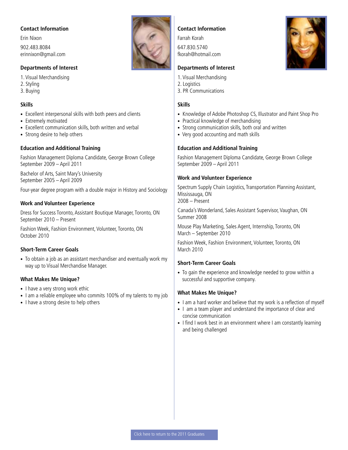<span id="page-14-0"></span>Erin Nixon 902.483.8084 erinnixon@gmail.com

#### **Departments of Interest**

1. Visual Merchandising

- 2. Styling
- 3. Buying

#### **Skills**

- Excellent interpersonal skills with both peers and clients
- Extremely motivated
- Excellent communication skills, both written and verbal
- Strong desire to help others

#### **Education and Additional Training**

Fashion Management Diploma Candidate, George Brown College September 2009 – April 2011

Bachelor of Arts, Saint Mary's University September 2005 – April 2009

Four-year degree program with a double major in History and Sociology

#### **Work and Volunteer Experience**

Dress for Success Toronto, Assistant Boutique Manager, Toronto, ON September 2010 – Present

Fashion Week, Fashion Environment, Volunteer, Toronto, ON October 2010

#### **Short-Term Career Goals**

• To obtain a job as an assistant merchandiser and eventually work my way up to Visual Merchandise Manager.

#### **What Makes Me Unique?**

- I have a very strong work ethic
- I am a reliable employee who commits 100% of my talents to my job
- I have a strong desire to help others



#### **Contact Information**

Farrah Korah 647.830.5740 fkorah@hotmail.com

#### **Departments of Interest**

- 1. Visual Merchandising
- 2. Logistics
- 3. PR Communications

#### **Skills**

- Knowledge of Adobe Photoshop CS, Illustrator and Paint Shop Pro
- Practical knowledge of merchandising
- Strong communication skills, both oral and written
- Very good accounting and math skills

#### **Education and Additional Training**

Fashion Management Diploma Candidate, George Brown College September 2009 – April 2011

#### **Work and Volunteer Experience**

Spectrum Supply Chain Logistics, Transportation Planning Assistant, Mississauga, ON 2008 – Present

Canada's Wonderland, Sales Assistant Supervisor, Vaughan, ON Summer 2008

Mouse Play Marketing, Sales Agent, Internship, Toronto, ON March – September 2010

Fashion Week, Fashion Environment, Volunteer, Toronto, ON March 2010

#### **Short-Term Career Goals**

• To gain the experience and knowledge needed to grow within a successful and supportive company.

- I am a hard worker and believe that my work is a reflection of myself
- I am a team player and understand the importance of clear and concise communication
- I find I work best in an environment where I am constantly learning and being challenged

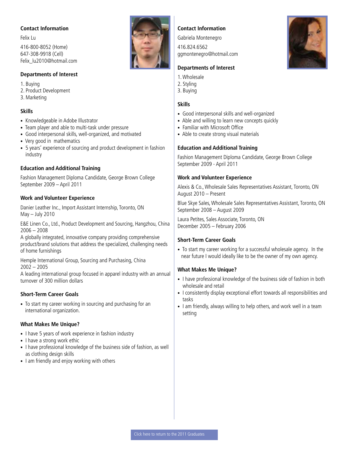<span id="page-15-0"></span>Felix Lu

416-800-8052 (Home) 647-308-9918 (Cell) Felix\_lu2010@hotmail.com

#### **Departments of Interest**

1. Buying

2. Product Development

3. Marketing

#### **Skills**

- Knowledgeable in Adobe Illustrator
- Team player and able to multi-task under pressure
- Good interpersonal skills, well-organized, and motivated
- Very good in mathematics
- 5 years' experience of sourcing and product development in fashion industry

#### **Education and Additional Training**

Fashion Management Diploma Candidate, George Brown College September 2009 – April 2011

#### **Work and Volunteer Experience**

Danier Leather Inc., Import Assistant Internship, Toronto, ON May – July 2010

E&E Linen Co., Ltd., Product Development and Sourcing, Hangzhou, China 2006 – 2008

A globally integrated, innovative company providing comprehensive product/brand solutions that address the specialized, challenging needs of home furnishings

Hemple International Group, Sourcing and Purchasing, China 2002 – 2005

A leading international group focused in apparel industry with an annual turnover of 300 million dollars

#### **Short-Term Career Goals**

• To start my career working in sourcing and purchasing for an international organization.

#### **What Makes Me Unique?**

- I have 5 years of work experience in fashion industry
- I have a strong work ethic
- I have professional knowledge of the business side of fashion, as well as clothing design skills
- I am friendly and enjoy working with others



#### **Contact Information**

Gabriela Montenegro

416.824.6562 ggmontenegro@hotmail.com

#### **Departments of Interest**

- 1. Wholesale
- 2. Styling
- 3. Buying

#### **Skills**

- Good interpersonal skills and well-organized
- Able and willing to learn new concepts quickly
- Familiar with Microsoft Office
- Able to create strong visual materials

#### **Education and Additional Training**

Fashion Management Diploma Candidate, George Brown College September 2009 - April 2011

#### **Work and Volunteer Experience**

Alexis & Co., Wholesale Sales Representatives Assistant, Toronto, ON August 2010 – Present

Blue Skye Sales, Wholesale Sales Representatives Assistant, Toronto, ON September 2008 – August 2009

Laura Petites, Sales Associate, Toronto, ON December 2005 – February 2006

#### **Short-Term Career Goals**

• To start my career working for a successful wholesale agency. In the near future I would ideally like to be the owner of my own agency.

- I have professional knowledge of the business side of fashion in both wholesale and retail
- I consistently display exceptional effort towards all responsibilities and tasks
- I am friendly, always willing to help others, and work well in a team setting

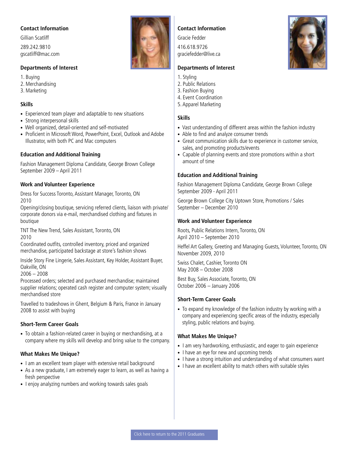<span id="page-16-0"></span>Gillian Scatliff 289.242.9810 gscatliff@mac.com

#### **Departments of Interest**

1. Buying 2. Merchandising

3. Marketing

#### **Skills**

- Experienced team player and adaptable to new situations
- Strong interpersonal skills
- Well organized, detail-oriented and self-motivated
- Proficient in Microsoft Word, PowerPoint, Excel, Outlook and Adobe Illustrator, with both PC and Mac computers

#### **Education and Additional Training**

Fashion Management Diploma Candidate, George Brown College September 2009 – April 2011

#### **Work and Volunteer Experience**

Dress for Success Toronto, Assistant Manager, Toronto, ON 2010

Opening/closing boutique, servicing referred clients, liaison with private/ corporate donors via e-mail, merchandised clothing and fixtures in boutique

TNT The New Trend, Sales Assistant, Toronto, ON 2010

Coordinated outfits, controlled inventory, priced and organized merchandise, participated backstage at store's fashion shows

Inside Story Fine Lingerie, Sales Assistant, Key Holder, Assistant Buyer, Oakville, ON

 $2006 - 2008$ 

Processed orders; selected and purchased merchandise; maintained supplier relations; operated cash register and computer system; visually merchandised store

Travelled to tradeshows in Ghent, Belgium & Paris, France in January 2008 to assist with buying

#### **Short-Term Career Goals**

• To obtain a fashion-related career in buying or merchandising, at a company where my skills will develop and bring value to the company.

#### **What Makes Me Unique?**

- I am an excellent team player with extensive retail background
- As a new graduate, I am extremely eager to learn, as well as having a fresh perspective
- I enjoy analyzing numbers and working towards sales goals

#### **Contact Information**

Gracie Fedder

416.618.9726 graciefedder@live.ca

#### **Departments of Interest**

- 1. Styling
- 2. Public Relations
- 3. Fashion Buying
- 4. Event Coordination
- 5. Apparel Marketing

#### **Skills**

- Vast understanding of different areas within the fashion industry
- Able to find and analyze consumer trends
- Great communication skills due to experience in customer service, sales, and promoting products/events
- Capable of planning events and store promotions within a short amount of time

#### **Education and Additional Training**

Fashion Management Diploma Candidate, George Brown College September 2009 - April 2011

George Brown College City Uptown Store, Promotions / Sales September – December 2010

#### **Work and Volunteer Experience**

Roots, Public Relations Intern, Toronto, ON April 2010 – September 2010

Heffel Art Gallery, Greeting and Managing Guests, Volunteer, Toronto, ON November 2009, 2010

Swiss Chalet, Cashier, Toronto ON May 2008 – October 2008

Best Buy, Sales Associate, Toronto, ON October 2006 – January 2006

#### **Short-Term Career Goals**

• To expand my knowledge of the fashion industry by working with a company and experiencing specific areas of the industry, especially styling, public relations and buying.

- I am very hardworking, enthusiastic, and eager to gain experience
- I have an eye for new and upcoming trends
- I have a strong intuition and understanding of what consumers want
- I have an excellent ability to match others with suitable styles





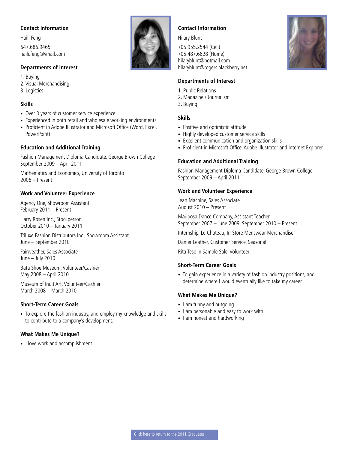<span id="page-17-0"></span>Haili Feng 647.686.9465 haili.feng@ymail.com

#### **Departments of Interest**

1. Buying 2. Visual Merchandising 3. Logistics

#### **Skills**

- Over 3 years of customer service experience
- Experienced in both retail and wholesale working environments
- Proficient in Adobe Illustrator and Microsoft Office (Word, Excel, PowerPoint)

#### **Education and Additional Training**

Fashion Management Diploma Candidate, George Brown College September 2009 – April 2011

Mathematics and Economics, University of Toronto 2006 – Present

#### **Work and Volunteer Experience**

Agency One, Showroom Assistant February 2011 – Present

Harry Rosen Inc., Stockperson October 2010 – January 2011

Triluxe Fashion Distributors Inc., Showroom Assistant June – September 2010

Fairweather, Sales Associate June – July 2010

Bata Shoe Museum, Volunteer/Cashier May 2008 – April 2010

Museum of Inuit Art, Volunteer/Cashier March 2008 – March 2010

#### **Short-Term Career Goals**

• To explore the fashion industry, and employ my knowledge and skills to contribute to a company's development.

#### **What Makes Me Unique?**

• I love work and accomplishment



#### **Contact Information**

Hilary Blunt

705.955.2544 (Cell) 705.487.6628 (Home) hilaryblunt@hotmail.com hilaryblunt@rogers.blackberry.net

#### **Departments of Interest**

- 1. Public Relations
- 2. Magazine / Journalism
- 3. Buying

#### **Skills**

- Positive and optimistic attitude
- Highly developed customer service skills
- Excellent communication and organization skills
- Proficient in Microsoft Office, Adobe Illustrator and Internet Explorer

#### **Education and Additional Training**

Fashion Management Diploma Candidate, George Brown College September 2009 – April 2011

#### **Work and Volunteer Experience**

Jean Machine, Sales Associate August 2010 – Present

Mariposa Dance Company, Assistant Teacher September 2007 – June 2009, September 2010 – Present

Internship, Le Chateau, In-Store Menswear Merchandiser

Danier Leather, Customer Service, Seasonal

Rita Tesolin Sample Sale, Volunteer

#### **Short-Term Career Goals**

• To gain experience in a variety of fashion industry positions, and determine where I would eventually like to take my career

- I am funny and outgoing
- I am personable and easy to work with
- I am honest and hardworking

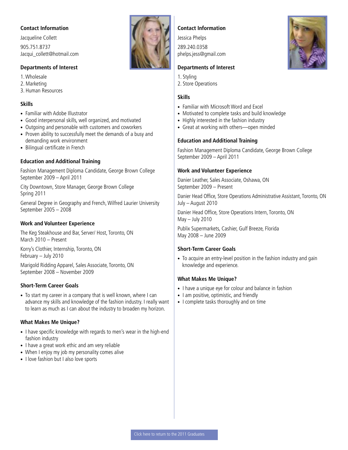<span id="page-18-0"></span>Jacqueline Collett 905.751.8737 Jacqui\_collett@hotmail.com

#### **Departments of Interest**

1. Wholesale

- 2. Marketing 3. Human Resources
- 

#### **Skills**

- Familiar with Adobe Illustrator
- Good interpersonal skills, well organized, and motivated
- Outgoing and personable with customers and coworkers
- Proven ability to successfully meet the demands of a busy and demanding work environment
- Bilingual certificate in French

#### **Education and Additional Training**

Fashion Management Diploma Candidate, George Brown College September 2009 – April 2011

City Downtown, Store Manager, George Brown College Spring 2011

General Degree in Geography and French, Wilfred Laurier University September 2005 – 2008

#### **Work and Volunteer Experience**

The Keg Steakhouse and Bar, Server/ Host, Toronto, ON March 2010 – Present

Korry's Clothier, Internship, Toronto, ON February – July 2010

Marigold Ridding Apparel, Sales Associate, Toronto, ON September 2008 – November 2009

#### **Short-Term Career Goals**

• To start my career in a company that is well known, where I can advance my skills and knowledge of the fashion industry. I really want to learn as much as I can about the industry to broaden my horizon.

#### **What Makes Me Unique?**

- I have specific knowledge with regards to men's wear in the high-end fashion industry
- I have a great work ethic and am very reliable
- When I enjoy my job my personality comes alive
- I love fashion but I also love sports



#### **Contact Information**

Jessica Phelps 289.240.0358 phelps.jess@gmail.com

#### **Departments of Interest**

- 1. Styling
- 2. Store Operations

#### **Skills**

- Familiar with Microsoft Word and Excel
- Motivated to complete tasks and build knowledge
- Highly interested in the fashion industry
- Great at working with others—open minded

#### **Education and Additional Training**

Fashion Management Diploma Candidate, George Brown College September 2009 – April 2011

#### **Work and Volunteer Experience**

Danier Leather, Sales Associate, Oshawa, ON September 2009 – Present

Danier Head Office, Store Operations Administrative Assistant, Toronto, ON July – August 2010

Danier Head Office, Store Operations Intern, Toronto, ON May – July 2010

Publix Supermarkets, Cashier, Gulf Breeze, Florida May 2008 – June 2009

#### **Short-Term Career Goals**

• To acquire an entry-level position in the fashion industry and gain knowledge and experience.

- I have a unique eye for colour and balance in fashion
- I am positive, optimistic, and friendly
- I complete tasks thoroughly and on time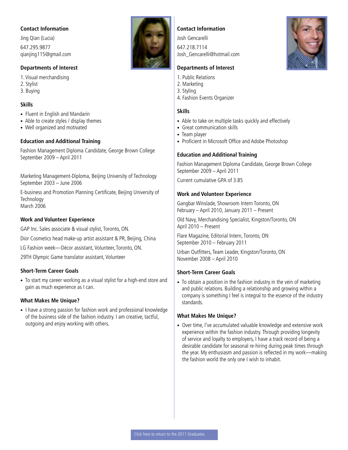<span id="page-19-0"></span>Jing Qian (Lucia) 647.295.9877 qianjing115@gmail.com

#### **Departments of Interest**

1. Visual merchandising

- 2. Stylist
- 3. Buying

#### **Skills**

- Fluent in English and Mandarin
- Able to create styles / display themes
- Well organized and motivated

#### **Education and Additional Training**

Fashion Management Diploma Candidate, George Brown College September 2009 – April 2011

Marketing Management-Diploma, Beijing University of Technology September 2003 – June 2006

E-business and Promotion Planning Certificate, Beijing University of **Technology** March 2006

#### **Work and Volunteer Experience**

GAP Inc. Sales associate & visual stylist, Toronto, ON.

Dior Cosmetics head make-up artist assistant & PR, Beijing, China

LG Fashion week—Décor assistant, Volunteer, Toronto, ON.

29TH Olympic Game translator assistant, Volunteer

#### **Short-Term Career Goals**

• To start my career working as a visual stylist for a high-end store and gain as much experience as I can.

#### **What Makes Me Unique?**

• I have a strong passion for fashion work and professional knowledge of the business side of the fashion industry. I am creative, tactful, outgoing and enjoy working with others.



#### **Contact Information**

Josh Gencarelli

647.218.7114 Josh\_Gencarelli@hotmail.com

#### **Departments of Interest**

- 1. Public Relations
- 2. Marketing
- 3. Styling
- 4. Fashion Events Organizer

#### **Skills**

- Able to take on multiple tasks quickly and effectively
- Great communication skills
- Team player
- Proficient in Microsoft Office and Adobe Photoshop

#### **Education and Additional Training**

Fashion Management Diploma Candidate, George Brown College September 2009 – April 2011

Current cumulative GPA of 3.85

#### **Work and Volunteer Experience**

Gangbar Winslade, Showroom Intern Toronto, ON February – April 2010, January 2011 – Present

Old Navy, Merchandising Specialist, Kingston/Toronto, ON April 2010 – Present

Flare Magazine, Editorial Intern, Toronto, ON September 2010 – February 2011

Urban Outfitters, Team Leader, Kingston/Toronto, ON November 2008 – April 2010

#### **Short-Term Career Goals**

• To obtain a position in the fashion industry in the vein of marketing and public relations. Building a relationship and growing within a company is something I feel is integral to the essence of the industry standards.

#### **What Makes Me Unique?**

• Over time, I've accumulated valuable knowledge and extensive work experience within the fashion industry. Through providing longevity of service and loyalty to employers, I have a track record of being a desirable candidate for seasonal re-hiring during peak times through the year. My enthusiasm and passion is reflected in my work—making the fashion world the only one I wish to inhabit.

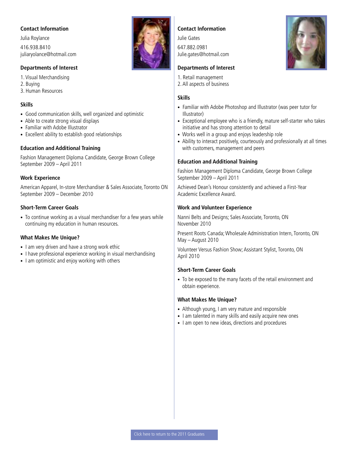<span id="page-20-0"></span>Julia Roylance 416.938.8410 juliaryolance@hotmail.com

#### **Departments of Interest**

1. Visual Merchandising 2. Buying

3. Human Resources

#### **Skills**

- Good communication skills, well organized and optimistic
- Able to create strong visual displays
- Familiar with Adobe Illustrator
- Excellent ability to establish good relationships

#### **Education and Additional Training**

Fashion Management Diploma Candidate, George Brown College September 2009 – April 2011

#### **Work Experience**

American Apparel, In-store Merchandiser & Sales Associate, Toronto ON September 2009 – December 2010

#### **Short-Term Career Goals**

• To continue working as a visual merchandiser for a few years while continuing my education in human resources.

#### **What Makes Me Unique?**

- I am very driven and have a strong work ethic
- I have professional experience working in visual merchandising
- I am optimistic and enjoy working with others



#### **Contact Information**

Julie Gates 647.882.0981 Julie.gates@hotmail.com

#### **Departments of Interest**

- 1. Retail management
- 2. All aspects of business

#### **Skills**

- Familiar with Adobe Photoshop and Illustrator (was peer tutor for Illustrator)
- Exceptional employee who is a friendly, mature self-starter who takes initiative and has strong attention to detail
- Works well in a group and enjoys leadership role
- Ability to interact positively, courteously and professionally at all times with customers, management and peers

#### **Education and Additional Training**

Fashion Management Diploma Candidate, George Brown College September 2009 – April 2011

Achieved Dean's Honour consistently and achieved a First-Year Academic Excellence Award.

#### **Work and Volunteer Experience**

Nanni Belts and Designs; Sales Associate, Toronto, ON November 2010

Present Roots Canada; Wholesale Administration Intern, Toronto, ON May – August 2010

Volunteer Versus Fashion Show; Assistant Stylist, Toronto, ON April 2010

#### **Short-Term Career Goals**

• To be exposed to the many facets of the retail environment and obtain experience.

- Although young, I am very mature and responsible
- I am talented in many skills and easily acquire new ones
- I am open to new ideas, directions and procedures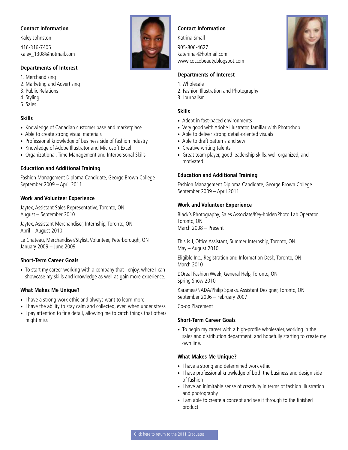<span id="page-21-0"></span>Kaley Johnston 416-316-7405 kaley\_1308@hotmail.com

#### **Departments of Interest**

1. Merchandising

- 2. Marketing and Advertising
- 3. Public Relations
- 4. Styling
- 5. Sales

#### **Skills**

- Knowledge of Canadian customer base and marketplace
- Able to create strong visual materials
- Professional knowledge of business side of fashion industry
- Knowledge of Adobe Illustrator and Microsoft Excel
- Organizational, Time Management and Interpersonal Skills

#### **Education and Additional Training**

Fashion Management Diploma Candidate, George Brown College September 2009 – April 2011

#### **Work and Volunteer Experience**

Jaytex, Assistant Sales Representative, Toronto, ON August – September 2010

Jaytex, Assistant Merchandiser, Internship, Toronto, ON April – August 2010

Le Chateau, Merchandiser/Stylist, Volunteer, Peterborough, ON January 2009 – June 2009

#### **Short-Term Career Goals**

• To start my career working with a company that I enjoy, where I can showcase my skills and knowledge as well as gain more experience.

#### **What Makes Me Unique?**

- I have a strong work ethic and always want to learn more
- I have the ability to stay calm and collected, even when under stress
- I pay attention to fine detail, allowing me to catch things that others might miss

#### **Contact Information**

Katrina Small 905-806-4627 kateriina-@hotmail.com www.coccobeauty.blogspot.com

#### **Departments of Interest**

- 1. Wholesale
- 2. Fashion Illustration and Photography
- 3. Journalism

#### **Skills**

- Adept in fast-paced environments
- Very good with Adobe Illustrator, familiar with Photoshop
- Able to deliver strong detail-oriented visuals
- Able to draft patterns and sew
- Creative writing talents
- Great team player, good leadership skills, well organized, and motivated

#### **Education and Additional Training**

Fashion Management Diploma Candidate, George Brown College September 2009 – April 2011

#### **Work and Volunteer Experience**

Black's Photography, Sales Associate/Key-holder/Photo Lab Operator Toronto, ON March 2008 – Present

This is J, Office Assistant, Summer Internship, Toronto, ON May – August 2010

Eligible Inc., Registration and Information Desk, Toronto, ON March 2010

L'Oreal Fashion Week, General Help, Toronto, ON Spring Show 2010

Karamea/NADA/Philip Sparks, Assistant Designer, Toronto, ON September 2006 – February 2007

Co-op Placement

#### **Short-Term Career Goals**

• To begin my career with a high-profile wholesaler, working in the sales and distribution department, and hopefully starting to create my own line.

- I have a strong and determined work ethic
- I have professional knowledge of both the business and design side of fashion
- I have an inimitable sense of creativity in terms of fashion illustration and photography
- I am able to create a concept and see it through to the finished product

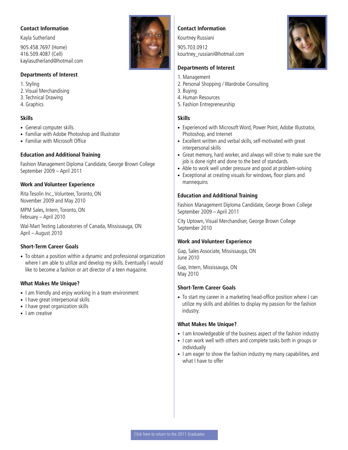<span id="page-22-0"></span>Kayla Sutherland 905.458.7697 (Home) 416.509.4087 (Cell) kaylasutherland@hotmail.com

#### **Departments of Interest**

1. Styling

- 2. Visual Merchandising
- 3. Technical Drawing
- 4. Graphics

#### **Skills**

- General computer skills
- Familiar with Adobe Photoshop and Illustrator
- Familiar with Microsoft Office

#### **Education and Additional Training**

Fashion Management Diploma Candidate, George Brown College September 2009 – April 2011

#### **Work and Volunteer Experience**

Rita Tesolin Inc., Volunteer, Toronto, ON November 2009 and May 2010

MPM Sales, Intern, Toronto, ON February – April 2010

Wal-Mart Testing Laboratories of Canada, Mississauga, ON April – August 2010

#### **Short-Term Career Goals**

• To obtain a position within a dynamic and professional organization where I am able to utilize and develop my skills. Eventually I would like to become a fashion or art director of a teen magazine.

#### **What Makes Me Unique?**

- I am friendly and enjoy working in a team environment
- I have great interpersonal skills
- I have great organization skills
- I am creative



#### **Contact Information**

Kourtney Russiani 905.703.0912 kourtney\_russiani@hotmail.com

#### **Departments of Interest**

- 1. Management
- 2. Personal Shopping / Wardrobe Consulting
- 3. Buying
- 4. Human Resources
- 5. Fashion Entrepreneurship

#### **Skills**

- Experienced with Microsoft Word, Power Point, Adobe Illustrator, Photoshop, and Internet
- Excellent written and verbal skills, self-motivated with great interpersonal skills
- Great memory, hard worker, and always will strive to make sure the job is done right and done to the best of standards.
- Able to work well under pressure and good at problem-solving
- Exceptional at creating visuals for windows, floor plans and mannequins

#### **Education and Additional Training**

Fashion Management Diploma Candidate, George Brown College September 2009 – April 2011

City Uptown, Visual Merchandiser, George Brown College September 2010

#### **Work and Volunteer Experience**

Gap, Sales Associate, Mississauga, ON June 2010

Gap, Intern, Mississauga, ON May 2010

#### **Short-Term Career Goals**

• To start my career in a marketing head-office position where I can utilize my skills and abilities to display my passion for the fashion industry.

- I am knowledgeable of the business aspect of the fashion industry
- I can work well with others and complete tasks both in groups or individually
- I am eager to show the fashion industry my many capabilities, and what I have to offer

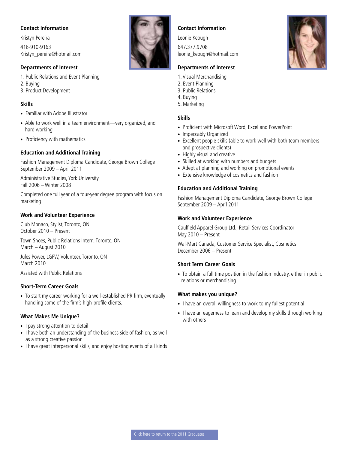Kristyn Pereira 416-910-9163 Kristyn\_pereira@hotmail.com

#### **Departments of Interest**

- 1. Public Relations and Event Planning
- 2. Buying
- 3. Product Development

#### **Skills**

- Familiar with Adobe Illustrator
- Able to work well in a team environment—very organized, and hard working
- Proficiency with mathematics

#### **Education and Additional Training**

Fashion Management Diploma Candidate, George Brown College September 2009 – April 2011

Administrative Studies, York University Fall 2006 – Winter 2008

Completed one full year of a four-year degree program with focus on marketing

#### **Work and Volunteer Experience**

Club Monaco, Stylist, Toronto, ON October 2010 – Present

Town Shoes, Public Relations Intern, Toronto, ON March – August 2010

Jules Power, LGFW, Volunteer, Toronto, ON March 2010

Assisted with Public Relations

#### **Short-Term Career Goals**

• To start my career working for a well-established PR firm, eventually handling some of the firm's high-profile clients.

#### **What Makes Me Unique?**

- I pay strong attention to detail
- I have both an understanding of the business side of fashion, as well as a strong creative passion
- I have great interpersonal skills, and enjoy hosting events of all kinds

#### **Contact Information**

Leonie Keough 647.377.9708 leonie\_keough@hotmail.com

#### **Departments of Interest**

- 1. Visual Merchandising
- 2. Event Planning
- 3. Public Relations
- 4. Buying
- 5. Marketing

#### **Skills**

- Proficient with Microsoft Word, Excel and PowerPoint
- Impeccably Organized
- Excellent people skills (able to work well with both team members and prospective clients)
- Highly visual and creative
- Skilled at working with numbers and budgets
- Adept at planning and working on promotional events
- Extensive knowledge of cosmetics and fashion

#### **Education and Additional Training**

Fashion Management Diploma Candidate, George Brown College September 2009 – April 2011

#### **Work and Volunteer Experience**

Caulfield Apparel Group Ltd., Retail Services Coordinator May 2010 – Present

Wal-Mart Canada, Customer Service Specialist, Cosmetics December 2006 – Present

#### **Short Term Career Goals**

• To obtain a full time position in the fashion industry, either in public relations or merchandising.

#### **What makes you unique?**

- I have an overall willingness to work to my fullest potential
- I have an eagerness to learn and develop my skills through working with others

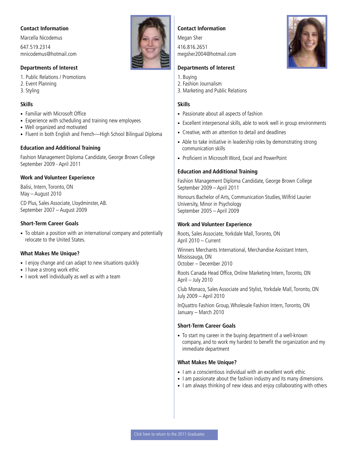<span id="page-24-0"></span>Marcella Nicodemus 647.519.2314 mnicodemus@hotmail.com

#### **Departments of Interest**

1. Public Relations / Promotions 2. Event Planning 3. Styling

#### **Skills**

- Familiar with Microsoft Office
- Experience with scheduling and training new employees
- Well organized and motivated
- Fluent in both English and French—High School Bilingual Diploma

#### **Education and Additional Training**

Fashion Management Diploma Candidate, George Brown College September 2009 - April 2011

#### **Work and Volunteer Experience**

Balisi, Intern, Toronto, ON May – August 2010

CD Plus, Sales Associate, Lloydminster, AB. September 2007 – August 2009

#### **Short-Term Career Goals**

• To obtain a position with an international company and potentially relocate to the United States.

#### **What Makes Me Unique?**

- I enjoy change and can adapt to new situations quickly
- I have a strong work ethic
- I work well individually as well as with a team

#### **Contact Information**

Megan Sher 416.816.2651 megsher2004@hotmail.com

#### **Departments of Interest**

- 1. Buying
- 2. Fashion Journalism
- 3. Marketing and Public Relations

#### **Skills**

- Passionate about all aspects of fashion
- Excellent interpersonal skills, able to work well in group environments
- Creative, with an attention to detail and deadlines
- Able to take initiative in leadership roles by demonstrating strong communication skills
- Proficient in Microsoft Word, Excel and PowerPoint

#### **Education and Additional Training**

Fashion Management Diploma Candidate, George Brown College September 2009 – April 2011

Honours Bachelor of Arts, Communication Studies, Wilfrid Laurier University, Minor in Psychology September 2005 – April 2009

#### **Work and Volunteer Experience**

Roots, Sales Associate, Yorkdale Mall, Toronto, ON April 2010 – Current

Winners Merchants International, Merchandise Assistant Intern, Mississauga, ON October – December 2010

Roots Canada Head Office, Online Marketing Intern, Toronto, ON April – July 2010

Club Monaco, Sales Associate and Stylist, Yorkdale Mall, Toronto, ON July 2009 – April 2010

InQuattro Fashion Group, Wholesale Fashion Intern, Toronto, ON January – March 2010

#### **Short-Term Career Goals**

• To start my career in the buying department of a well-known company, and to work my hardest to benefit the organization and my immediate department

- I am a conscientious individual with an excellent work ethic
- I am passionate about the fashion industry and its many dimensions
- I am always thinking of new ideas and enjoy collaborating with others

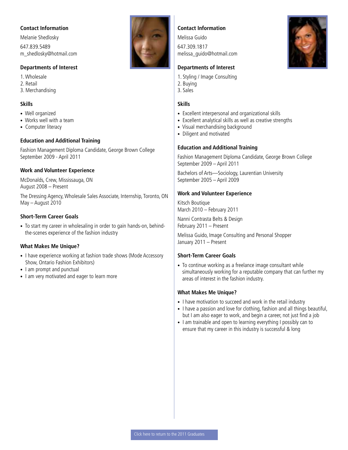<span id="page-25-0"></span>Melanie Shedlosky 647.839.5489 m\_shedlosky@hotmail.com

#### **Departments of Interest**

1. Wholesale

- 2. Retail
- 3. Merchandising

#### **Skills**

- Well organized
- Works well with a team
- Computer literacy

#### **Education and Additional Training**

Fashion Management Diploma Candidate, George Brown College September 2009 - April 2011

#### **Work and Volunteer Experience**

McDonalds, Crew, Mississauga, ON August 2008 – Present

The Dressing Agency, Wholesale Sales Associate, Internship, Toronto, ON May – August 2010

#### **Short-Term Career Goals**

• To start my career in wholesaling in order to gain hands-on, behindthe-scenes experience of the fashion industry

#### **What Makes Me Unique?**

- I have experience working at fashion trade shows (Mode Accessory Show, Ontario Fashion Exhibitors)
- I am prompt and punctual
- I am very motivated and eager to learn more



#### **Contact Information**

Melissa Guido 647.309.1817 melissa\_guido@hotmail.com

#### **Departments of Interest**

- 1. Styling / Image Consulting
- 2. Buying
- 3. Sales

#### **Skills**

- Excellent interpersonal and organizational skills
- Excellent analytical skills as well as creative strengths
- Visual merchandising background
- Diligent and motivated

#### **Education and Additional Training**

Fashion Management Diploma Candidate, George Brown College September 2009 – April 2011

Bachelors of Arts—Sociology, Laurentian University September 2005 – April 2009

#### **Work and Volunteer Experience**

Kitsch Boutique March 2010 – February 2011

Nanni Contrasta Belts & Design February 2011 – Present

Melissa Guido, Image Consulting and Personal Shopper January 2011 – Present

#### **Short-Term Career Goals**

• To continue working as a freelance image consultant while simultaneously working for a reputable company that can further my areas of interest in the fashion industry.

- I have motivation to succeed and work in the retail industry
- I have a passion and love for clothing, fashion and all things beautiful, but I am also eager to work, and begin a career, not just find a job
- I am trainable and open to learning everything I possibly can to ensure that my career in this industry is successful & long

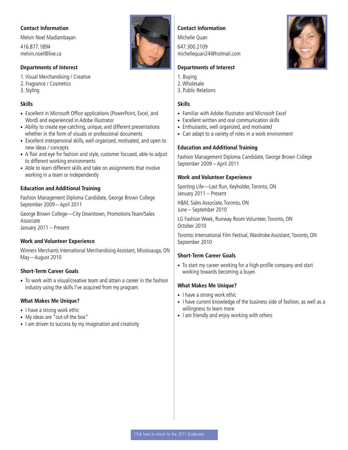<span id="page-26-0"></span>Melvin Noel Madlambayan

416.877.1894 melvin.noel@live.ca

#### **Departments of Interest**

1. Visual Merchandising / Creative 2. Fragrance / Cosmetics 3. Styling

#### **Skills**

- Excellent in Microsoft Office applications (PowerPoint, Excel, and Word) and experienced in Adobe Illustrator
- Ability to create eye-catching, unique, and different presentations whether in the form of visuals or professional documents
- Excellent interpersonal skills, well organized, motivated, and open to new ideas / concepts
- A flair and eye for fashion and style, customer focused, able to adjust to different working environments
- Able to learn different skills and take on assignments that involve working in a team or independently

#### **Education and Additional Training**

Fashion Management Diploma Candidate, George Brown College September 2009 – April 2011

George Brown College—City Downtown, Promotions Team/Sales Associate January 2011 – Present

#### **Work and Volunteer Experience**

Winners Merchants International Merchandising Assistant, Mississauga, ON May – August 2010

#### **Short-Term Career Goals**

• To work with a visual/creative team and attain a career in the fashion industry using the skills I've acquired from my program.

#### **What Makes Me Unique?**

- I have a strong work ethic
- My ideas are "out-of-the box"
- I am driven to success by my imagination and creativity



#### **Contact Information**

Michelle Quan

647.300.2109 michellequan24@hotmail.com

#### **Departments of Interest**

- 1. Buying
- 2. Wholesale
- 3. Public Relations

#### **Skills**

- Familiar with Adobe Illustrator and Microsoft Excel
- Excellent written and oral communication skills
- Enthusiastic, well organized, and motivated
- Can adapt to a variety of roles in a work environment

#### **Education and Additional Training**

Fashion Management Diploma Candidate, George Brown College September 2009 – April 2011

#### **Work and Volunteer Experience**

Sporting Life—Last Run, Keyholder, Toronto, ON January 2011 – Present

H&M, Sales Associate, Toronto, ON June – September 2010

LG Fashion Week, Runway Room Volunteer, Toronto, ON October 2010

Toronto International Film Festival, Wardrobe Assistant, Toronto, ON September 2010

#### **Short-Term Career Goals**

• To start my career working for a high-profile company and start working towards becoming a buyer.

- I have a strong work ethic
- I have current knowledge of the business side of fashion, as well as a willingness to learn more
- I am friendly and enjoy working with others

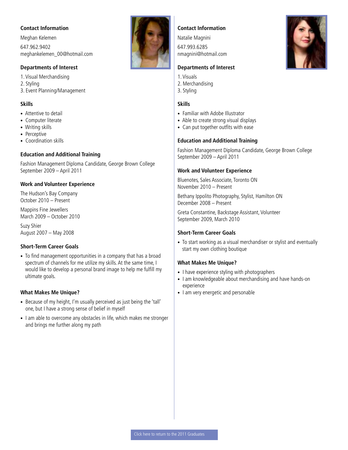<span id="page-27-0"></span>Meghan Kelemen 647.962.9402 meghankelemen\_00@hotmail.com

#### **Departments of Interest**

1. Visual Merchandising 2. Styling 3. Event Planning/Management

#### **Skills**

- Attentive to detail
- Computer literate
- Writing skills
- Perceptive
- Coordination skills

#### **Education and Additional Training**

Fashion Management Diploma Candidate, George Brown College September 2009 – April 2011

#### **Work and Volunteer Experience**

The Hudson's Bay Company October 2010 – Present

Mappins Fine Jewellers March 2009 – October 2010

Suzy Shier August 2007 – May 2008

#### **Short-Term Career Goals**

• To find management opportunities in a company that has a broad spectrum of channels for me utilize my skills. At the same time, I would like to develop a personal brand image to help me fulfill my ultimate goals.

#### **What Makes Me Unique?**

- Because of my height, I'm usually perceived as just being the 'tall' one, but I have a strong sense of belief in myself
- I am able to overcome any obstacles in life, which makes me stronger and brings me further along my path

#### **Contact Information**

Natalie Magnini 647.993.6285 nmagnini@hotmail.com

#### **Departments of Interest**

- 1. Visuals
- 2. Merchandising
- 3. Styling

#### **Skills**

- Familiar with Adobe Illustrator
- Able to create strong visual displays
- Can put together outfits with ease

#### **Education and Additional Training**

Fashion Management Diploma Candidate, George Brown College September 2009 – April 2011

#### **Work and Volunteer Experience**

Bluenotes, Sales Associate, Toronto ON November 2010 – Present

Bethany Ippolito Photography, Stylist, Hamilton ON December 2008 – Present

Greta Constantine, Backstage Assistant, Volunteer September 2009, March 2010

#### **Short-Term Career Goals**

• To start working as a visual merchandiser or stylist and eventually start my own clothing boutique

- I have experience styling with photographers
- I am knowledgeable about merchandising and have hands-on experience
- I am very energetic and personable

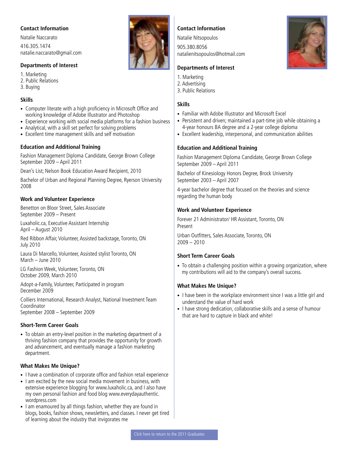<span id="page-28-0"></span>Natalie Naccarato 416.305.1474 natalie.naccarato@gmail.com

#### **Departments of Interest**

1. Marketing 2. Public Relations

- 3. Buying
- 

#### **Skills**

- Computer literate with a high proficiency in Microsoft Office and working knowledge of Adobe Illustrator and Photoshop
- Experience working with social media platforms for a fashion business
- Analytical, with a skill set perfect for solving problems
- Excellent time management skills and self motivation

#### **Education and Additional Training**

Fashion Management Diploma Candidate, George Brown College September 2009 – April 2011

Dean's List; Nelson Book Education Award Recipient, 2010

Bachelor of Urban and Regional Planning Degree, Ryerson University 2008

#### **Work and Volunteer Experience**

Benetton on Bloor Street, Sales Associate September 2009 – Present

Luxaholic.ca, Executive Assistant Internship April – August 2010

Red Ribbon Affair, Volunteer, Assisted backstage, Toronto, ON July 2010

Laura Di Marcello, Volunteer, Assisted stylist Toronto, ON March – June 2010

LG Fashion Week, Volunteer, Toronto, ON October 2009, March 2010

Adopt-a-Family, Volunteer, Participated in program December 2009

Colliers International, Research Analyst, National Investment Team Coordinator September 2008 – September 2009

#### **Short-Term Career Goals**

• To obtain an entry-level position in the marketing department of a thriving fashion company that provides the opportunity for growth and advancement, and eventually manage a fashion marketing department.

#### **What Makes Me Unique?**

- I have a combination of corporate office and fashion retail experience
- I am excited by the new social media movement in business, with extensive experience blogging for www.luxaholic.ca, and I also have my own personal fashion and food blog www.everydayauthentic. wordpress.com
- I am enamoured by all things fashion, whether they are found in blogs, books, fashion shows, newsletters, and classes. I never get tired of learning about the industry that invigorates me

#### **Contact Information**

Natalie Nitsopoulos

905.380.8056 natalienitsopoulos@hotmail.com

#### **Departments of Interest**

- 1. Marketing
- 2. Advertising
- 3. Public Relations

#### **Skills**

- Familiar with Adobe Illustrator and Microsoft Excel
- Persistent and driven; maintained a part-time job while obtaining a 4-year honours BA degree and a 2-year college diploma
- Excellent leadership, interpersonal, and communication abilities

#### **Education and Additional Training**

Fashion Management Diploma Candidate, George Brown College September 2009 – April 2011

Bachelor of Kinesiology Honors Degree, Brock University September 2003 – April 2007

4-year bachelor degree that focused on the theories and science regarding the human body

#### **Work and Volunteer Experience**

Forever 21 Administrator/ HR Assistant, Toronto, ON Present

Urban Outfitters, Sales Associate, Toronto, ON 2009 – 2010

#### **Short Term Career Goals**

• To obtain a challenging position within a growing organization, where my contributions will aid to the company's overall success.

- I have been in the workplace environment since I was a little girl and understand the value of hard work
- I have strong dedication, collaborative skills and a sense of humour that are hard to capture in black and white!

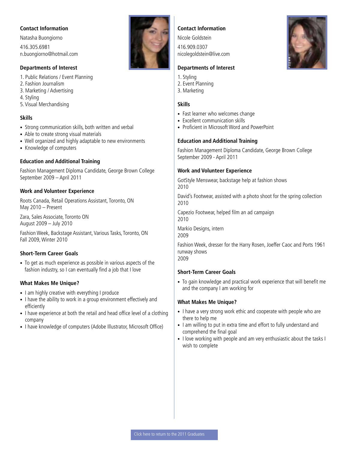<span id="page-29-0"></span>Natasha Buongiorno 416.305.6981 n.buongiorno@hotmail.com

#### **Departments of Interest**

- 1. Public Relations / Event Planning
- 2. Fashion Journalism
- 3. Marketing / Advertising
- 4. Styling
- 5. Visual Merchandising

#### **Skills**

- Strong communication skills, both written and verbal
- Able to create strong visual materials
- Well organized and highly adaptable to new environments
- Knowledge of computers

#### **Education and Additional Training**

Fashion Management Diploma Candidate, George Brown College September 2009 – April 2011

#### **Work and Volunteer Experience**

Roots Canada, Retail Operations Assistant, Toronto, ON May 2010 – Present

Zara, Sales Associate, Toronto ON August 2009 – July 2010

Fashion Week, Backstage Assistant, Various Tasks, Toronto, ON Fall 2009, Winter 2010

#### **Short-Term Career Goals**

• To get as much experience as possible in various aspects of the fashion industry, so I can eventually find a job that I love

#### **What Makes Me Unique?**

- I am highly creative with everything I produce
- I have the ability to work in a group environment effectively and efficiently
- I have experience at both the retail and head office level of a clothing company
- I have knowledge of computers (Adobe Illustrator, Microsoft Office)

#### **Contact Information**

Nicole Goldstein

416.909.0307 nicolegoldstein@live.com

#### **Departments of Interest**

- 1. Styling
- 2. Event Planning
- 3. Marketing

#### **Skills**

- Fast learner who welcomes change
- Excellent communication skills
- Proficient in Microsoft Word and PowerPoint

#### **Education and Additional Training**

Fashion Management Diploma Candidate, George Brown College September 2009 - April 2011

#### **Work and Volunteer Experience**

GotStyle Menswear, backstage help at fashion shows 2010

David's Footwear, assisted with a photo shoot for the spring collection 2010

Capezio Footwear, helped film an ad campaign 2010

Markio Designs, intern 2009

Fashion Week, dresser for the Harry Rosen, Joeffer Caoc and Ports 1961 runway shows 2009

#### **Short-Term Career Goals**

• To gain knowledge and practical work experience that will benefit me and the company I am working for

- I have a very strong work ethic and cooperate with people who are there to help me
- I am willing to put in extra time and effort to fully understand and comprehend the final goal
- I love working with people and am very enthusiastic about the tasks I wish to complete

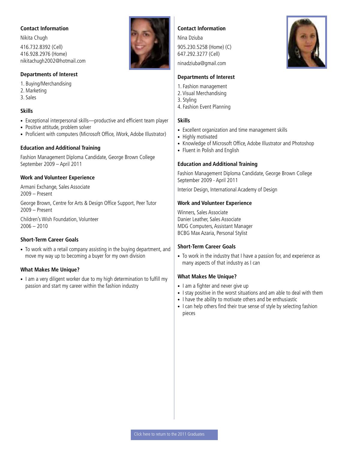<span id="page-30-0"></span>Nikita Chugh 416.732.8392 (Cell) 416.928.2976 (Home) nikitachugh2002@hotmail.com

#### **Departments of Interest**

- 1. Buying/Merchandising
- 2. Marketing
- 3. Sales

#### **Skills**

- Exceptional interpersonal skills—productive and efficient team player
- Positive attitude, problem solver
- Proficient with computers (Microsoft Office, iWork, Adobe Illustrator)

#### **Education and Additional Training**

Fashion Management Diploma Candidate, George Brown College September 2009 – April 2011

#### **Work and Volunteer Experience**

Armani Exchange, Sales Associate 2009 – Present

George Brown, Centre for Arts & Design Office Support, Peer Tutor 2009 – Present

Children's Wish Foundation, Volunteer  $2006 - 2010$ 

#### **Short-Term Career Goals**

• To work with a retail company assisting in the buying department, and move my way up to becoming a buyer for my own division

#### **What Makes Me Unique?**

• I am a very diligent worker due to my high determination to fulfill my passion and start my career within the fashion industry



#### **Contact Information**

Nina Dziuba 905.230.5258 (Home) (C) 647.292.3277 (Cell)

ninadziuba@gmail.com

#### **Departments of Interest**

- 1. Fashion management
- 2. Visual Merchandising
- 3. Styling
- 4. Fashion Event Planning

#### **Skills**

- Excellent organization and time management skills
- Highly motivated
- Knowledge of Microsoft Office, Adobe Illustrator and Photoshop
- Fluent in Polish and English

#### **Education and Additional Training**

Fashion Management Diploma Candidate, George Brown College September 2009 - April 2011

Interior Design, International Academy of Design

#### **Work and Volunteer Experience**

Winners, Sales Associate Danier Leather, Sales Associate MDG Computers, Assistant Manager BCBG Max Azaria, Personal Stylist

#### **Short-Term Career Goals**

• To work in the industry that I have a passion for, and experience as many aspects of that industry as I can

- I am a fighter and never give up
- I stay positive in the worst situations and am able to deal with them
- I have the ability to motivate others and be enthusiastic
- I can help others find their true sense of style by selecting fashion pieces

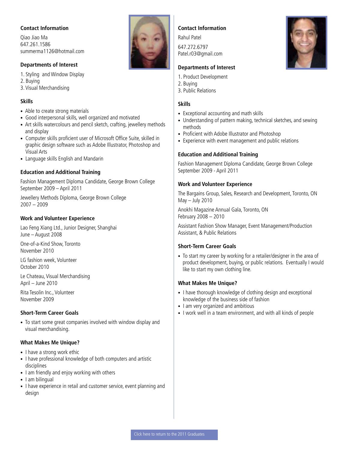<span id="page-31-0"></span>Qiao Jiao Ma 647.261.1586 summerma1126@hotmail.com

#### **Departments of Interest**

1. Styling and Window Display

- 2. Buying
- 3. Visual Merchandising

#### **Skills**

- Able to create strong materials
- Good interpersonal skills, well organized and motivated
- Art skills watercolours and pencil sketch, crafting, jewellery methods and display
- Computer skills proficient user of Microsoft Office Suite, skilled in graphic design software such as Adobe Illustrator, Photoshop and Visual Arts
- Language skills English and Mandarin

#### **Education and Additional Training**

Fashion Management Diploma Candidate, George Brown College September 2009 – April 2011

Jewellery Methods Diploma, George Brown College 2007 – 2009

#### **Work and Volunteer Experience**

Lao Feng Xiang Ltd., Junior Designer, Shanghai June – August 2008

One-of-a-Kind Show, Toronto November 2010

LG fashion week, Volunteer October 2010

Le Chateau, Visual Merchandising April – June 2010

Rita Tesolin Inc., Volunteer November 2009

#### **Short-Term Career Goals**

• To start some great companies involved with window display and visual merchandising.

#### **What Makes Me Unique?**

- I have a strong work ethic
- I have professional knowledge of both computers and artistic disciplines
- I am friendly and enjoy working with others
- I am bilingual
- I have experience in retail and customer service, event planning and design

#### **Contact Information**

Rahul Patel 647.272.6797 Patel.r03@gmail.com

#### **Departments of Interest**

- 1. Product Development
- 2. Buying
- 3. Public Relations

#### **Skills**

- Exceptional accounting and math skills
- Understanding of pattern making, technical sketches, and sewing methods
- Proficient with Adobe Illustrator and Photoshop
- Experience with event management and public relations

#### **Education and Additional Training**

Fashion Management Diploma Candidate, George Brown College September 2009 - April 2011

#### **Work and Volunteer Experience**

The Bargains Group, Sales, Research and Development, Toronto, ON May – July 2010

Anokhi Magazine Annual Gala, Toronto, ON February 2008 – 2010

Assistant Fashion Show Manager, Event Management/Production Assistant, & Public Relations

#### **Short-Term Career Goals**

• To start my career by working for a retailer/designer in the area of product development, buying, or public relations. Eventually I would like to start my own clothing line.

- I have thorough knowledge of clothing design and exceptional knowledge of the business side of fashion
- I am very organized and ambitious
- I work well in a team environment, and with all kinds of people

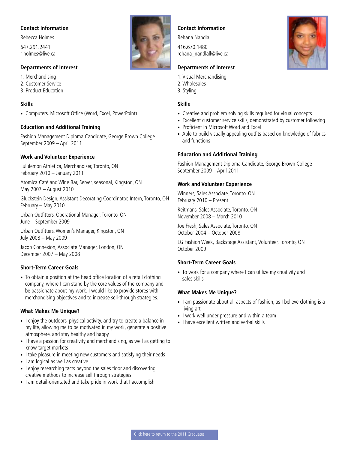<span id="page-32-0"></span>Rebecca Holmes 647.291.2441 r-holmes@live.ca

#### **Departments of Interest**

1. Merchandising

- 2. Customer Service
- 3. Product Education

#### **Skills**

• Computers, Microsoft Office (Word, Excel, PowerPoint)

#### **Education and Additional Training**

Fashion Management Diploma Candidate, George Brown College September 2009 – April 2011

#### **Work and Volunteer Experience**

Lululemon Athletica, Merchandiser, Toronto, ON February 2010 – January 2011

Atomica Café and Wine Bar, Server, seasonal, Kingston, ON May 2007 – August 2010

Gluckstein Design, Assistant Decorating Coordinator, Intern, Toronto, ON February – May 2010

Urban Outfitters, Operational Manager, Toronto, ON June – September 2009

Urban Outfitters, Women's Manager, Kingston, ON July 2008 – May 2009

Jacob Connexion, Associate Manager, London, ON December 2007 – May 2008

#### **Short-Term Career Goals**

• To obtain a position at the head office location of a retail clothing company, where I can stand by the core values of the company and be passionate about my work. I would like to provide stores with merchandising objectives and to increase sell-through strategies.

#### **What Makes Me Unique?**

- I enjoy the outdoors, physical activity, and try to create a balance in my life, allowing me to be motivated in my work, generate a positive atmosphere, and stay healthy and happy
- I have a passion for creativity and merchandising, as well as getting to know target markets
- I take pleasure in meeting new customers and satisfying their needs
- I am logical as well as creative
- I enjoy researching facts beyond the sales floor and discovering creative methods to increase sell through strategies
- I am detail-orientated and take pride in work that I accomplish

#### **Contact Information**

Rehana Nandlall

416.670.1480 rehana\_nandlall@live.ca

#### **Departments of Interest**

- 1. Visual Merchandising
- 2. Wholesales
- 3. Styling

#### **Skills**

- Creative and problem solving skills required for visual concepts
- Excellent customer service skills, demonstrated by customer following
- Proficient in Microsoft Word and Excel
- Able to build visually appealing outfits based on knowledge of fabrics and functions

#### **Education and Additional Training**

Fashion Management Diploma Candidate, George Brown College September 2009 – April 2011

#### **Work and Volunteer Experience**

Winners, Sales Associate, Toronto, ON February 2010 – Present

Reitmans, Sales Associate, Toronto, ON November 2008 – March 2010

Joe Fresh, Sales Associate, Toronto, ON October 2004 – October 2008

LG Fashion Week, Backstage Assistant, Volunteer, Toronto, ON October 2009

#### **Short-Term Career Goals**

• To work for a company where I can utilize my creativity and sales skills.

- I am passionate about all aspects of fashion, as I believe clothing is a living art
- I work well under pressure and within a team
- I have excellent written and verbal skills

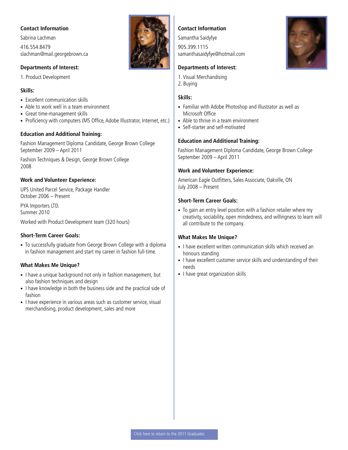<span id="page-33-0"></span>Sabrina Lachman 416.554.8479 slachman@mail.georgebrown.ca

#### **Departments of Interest:**

1. Product Development

#### **Skills:**

- Excellent communication skills
- Able to work well in a team environment
- Great time-management skills
- Proficiency with computers (MS Office, Adobe Illustrator, Internet, etc.)

#### **Education and Additional Training:**

Fashion Management Diploma Candidate, George Brown College September 2009 – April 2011

Fashion Techniques & Design, George Brown College 2008

#### **Work and Volunteer Experience:**

UPS United Parcel Service, Package Handler October 2006 – Present

PYA Importers LTD. Summer 2010

Worked with Product Development team (320 hours)

#### **Short-Term Career Goals:**

• To successfully graduate from George Brown College with a diploma in fashion management and start my career in fashion full-time.

#### **What Makes Me Unique?**

- I have a unique background not only in fashion management, but also fashion techniques and design
- I have knowledge in both the business side and the practical side of fashion
- I have experience in various areas such as customer service, visual merchandising, product development, sales and more



#### **Contact Information**

Samantha Saidyfye 905.399.1115 samanthasaidyfye@hotmail.com

#### **Departments of Interest:**

- 1. Visual Merchandising
- 2. Buying

#### **Skills:**

- Familiar with Adobe Photoshop and Illustrator as well as Microsoft Office
- Able to thrive in a team environment
- Self-starter and self-motivated

#### **Education and Additional Training:**

Fashion Management Diploma Candidate, George Brown College September 2009 – April 2011

#### **Work and Volunteer Experience:**

American Eagle Outfitters, Sales Associate, Oakville, ON July 2008 – Present

#### **Short-Term Career Goals:**

• To gain an entry level position with a fashion retailer where my creativity, sociability, open mindedness, and willingness to learn will all contribute to the company.

- I have excellent written communication skills which received an honours standing
- I have excellent customer service skills and understanding of their needs
- I have great organization skills

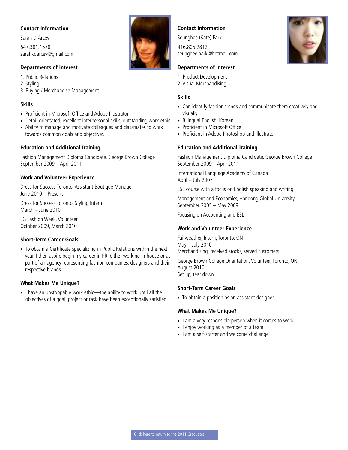<span id="page-34-0"></span>Sarah D'Arcey 647.381.1578 sarahkdarcey@gmail.com

#### **Departments of Interest**

1. Public Relations 2. Styling

3. Buying / Merchandise Management

#### **Skills**

- Proficient in Microsoft Office and Adobe Illustrator
- Detail-orientated, excellent interpersonal skills, outstanding work ethic
- Ability to manage and motivate colleagues and classmates to work towards common goals and objectives

#### **Education and Additional Training**

Fashion Management Diploma Candidate, George Brown College September 2009 – April 2011

#### **Work and Volunteer Experience**

Dress for Success Toronto, Assistant Boutique Manager June 2010 – Present

Dress for Success Toronto, Styling Intern March – June 2010

LG Fashion Week, Volunteer October 2009, March 2010

#### **Short-Term Career Goals**

• To obtain a Certificate specializing in Public Relations within the next year. I then aspire begin my career in PR, either working in-house or as part of an agency representing fashion companies, designers and their respective brands.

#### **What Makes Me Unique?**

• I have an unstoppable work ethic—the ability to work until all the objectives of a goal, project or task have been exceptionally satisfied



#### **Contact Information**

Seunghee (Kate) Park

416.805.2812 seunghee.park@hotmail.com

#### **Departments of Interest**

- 1. Product Development
- 2. Visual Merchandising

#### **Skills**

- Can identify fashion trends and communicate them creatively and visually
- Bilingual English, Korean
- Proficient in Microsoft Office
- Proficient in Adobe Photoshop and Illustrator

#### **Education and Additional Training**

Fashion Management Diploma Candidate, George Brown College September 2009 – April 2011

International Language Academy of Canada April – July 2007

ESL course with a focus on English speaking and writing

Management and Economics, Handong Global University September 2005 – May 2009

Focusing on Accounting and ESL

#### **Work and Volunteer Experience**

Fairweather, Intern, Toronto, ON May – July 2010 Merchandising, received stocks, served customers

George Brown College Orientation, Volunteer, Toronto, ON August 2010 Set up, tear down

#### **Short-Term Career Goals**

• To obtain a position as an assistant designer

- I am a very responsible person when it comes to work
- I enjoy working as a member of a team
- I am a self-starter and welcome challenge

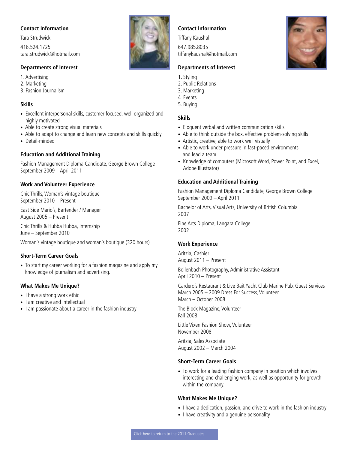<span id="page-35-0"></span>Tara Strudwick

416.524.1725 tara.strudwick@hotmail.com

#### **Departments of Interest**

1. Advertising

- 2. Marketing
- 3. Fashion Journalism

#### **Skills**

- Excellent interpersonal skills, customer focused, well organized and highly motivated
- Able to create strong visual materials
- Able to adapt to change and learn new concepts and skills quickly
- Detail-minded

#### **Education and Additional Training**

Fashion Management Diploma Candidate, George Brown College September 2009 – April 2011

#### **Work and Volunteer Experience**

Chic Thrills, Woman's vintage boutique September 2010 – Present

East Side Mario's, Bartender / Manager August 2005 – Present

Chic Thrills & Hubba Hubba, Internship June – September 2010

Woman's vintage boutique and woman's boutique (320 hours)

#### **Short-Term Career Goals**

• To start my career working for a fashion magazine and apply my knowledge of journalism and advertising.

#### **What Makes Me Unique?**

- I have a strong work ethic
- I am creative and intellectual
- I am passionate about a career in the fashion industry



#### **Contact Information**

Tiffany Kaushal

647.985.8035 tiffanykaushal@hotmail.com

#### **Departments of Interest**

- 1. Styling
- 2. Public Relations
- 3. Marketing
- 4. Events
- 5. Buying

#### **Skills**

- Eloquent verbal and written communication skills
- Able to think outside the box, effective problem-solving skills
- Artistic, creative, able to work well visually
- Able to work under pressure in fast-paced environments and lead a team
- Knowledge of computers (Microsoft Word, Power Point, and Excel, Adobe Illustrator)

#### **Education and Additional Training**

Fashion Management Diploma Candidate, George Brown College September 2009 – April 2011

Bachelor of Arts, Visual Arts, University of British Columbia 2007

Fine Arts Diploma, Langara College 2002

#### **Work Experience**

Aritzia, Cashier August 2011 – Present

Bollenbach Photography, Administrative Assistant April 2010 – Present

Cardero's Restaurant & Live Bait Yacht Club Marine Pub, Guest Services March 2005 – 2009 Dress For Success, Volunteer March – October 2008

The Block Magazine, Volunteer Fall 2008

Little Vixen Fashion Show, Volunteer November 2008

Aritzia, Sales Associate August 2002 – March 2004

#### **Short-Term Career Goals**

• To work for a leading fashion company in position which involves interesting and challenging work, as well as opportunity for growth within the company.

- I have a dedication, passion, and drive to work in the fashion industry
- I have creativity and a genuine personality

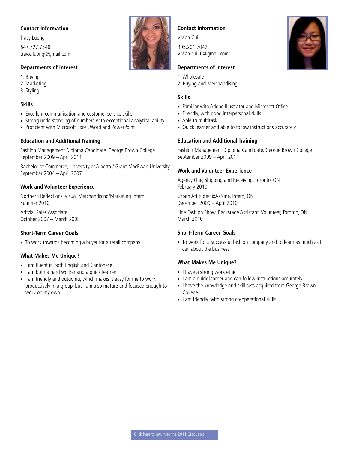<span id="page-36-0"></span>Tracy Luong 647.727.7348 tray.c.luong@gmail.com

#### **Departments of Interest**

1. Buying 2. Marketing

3. Styling

#### **Skills**

- Excellent communication and customer service skills
- Strong understanding of numbers with exceptional analytical ability
- Proficient with Microsoft Excel, Word and PowerPoint

#### **Education and Additional Training**

Fashion Management Diploma Candidate, George Brown College September 2009 – April 2011

Bachelor of Commerce, University of Alberta / Grant MacEwan University September 2004 – April 2007

#### **Work and Volunteer Experience**

Northern Reflections, Visual Merchandising/Marketing Intern Summer 2010

Aritzia, Sales Associate October 2007 – March 2008

#### **Short-Term Career Goals**

• To work towards becoming a buyer for a retail company

#### **What Makes Me Unique?**

- I am fluent in both English and Cantonese
- I am both a hard worker and a quick learner
- I am friendly and outgoing, which makes it easy for me to work productively in a group, but I am also mature and focused enough to work on my own



Vivian Cui 905.201.7042 Vivian.cui16@gmail.com

#### **Departments of Interest**

- 1. Wholesale
- 2. Buying and Merchandising

#### **Skills**

- Familiar with Adobe Illustrator and Microsoft Office
- Friendly, with good interpersonal skills
- Able to multitask
- Quick learner and able to follow instructions accurately

#### **Education and Additional Training**

Fashion Management Diploma Candidate, George Brown College September 2009 – April 2011

#### **Work and Volunteer Experience**

Agency One, Shipping and Receiving, Toronto, ON February 2010

Urban Attitude/SixAsNine, Intern, ON December 2009 – April 2010

Line Fashion Show, Backstage Assistant, Volunteer, Toronto, ON March 2010

#### **Short-Term Career Goals**

• To work for a successful fashion company and to learn as much as I can about the business.

- I have a strong work ethic
- I am a quick learner and can follow instructions accurately
- I have the knowledge and skill sets acquired from George Brown College
- I am friendly, with strong co-operational skills